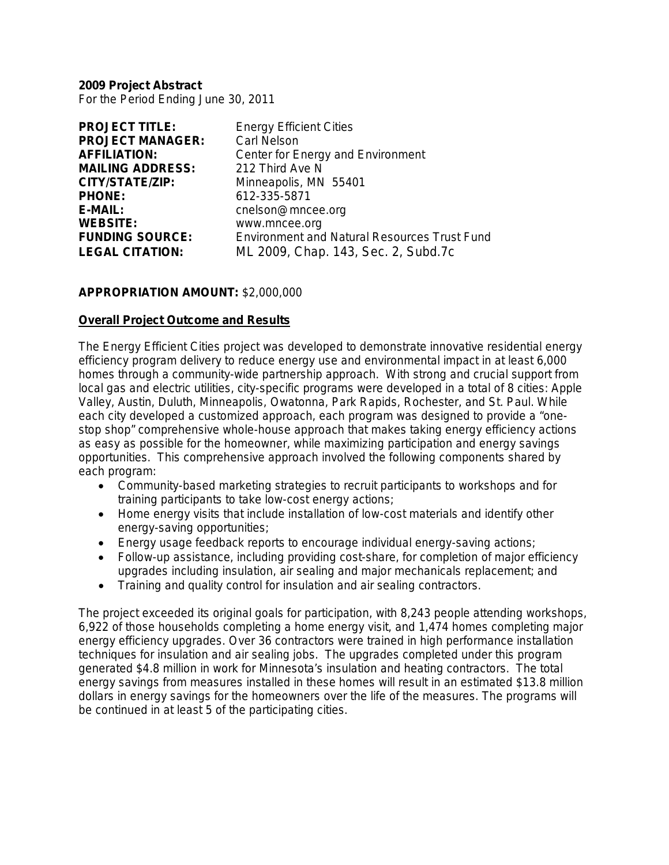**2009 Project Abstract** For the Period Ending June 30, 2011

| <b>PROJECT TITLE:</b>   | <b>Energy Efficient Cities</b>                      |
|-------------------------|-----------------------------------------------------|
| <b>PROJECT MANAGER:</b> | <b>Carl Nelson</b>                                  |
| <b>AFFILIATION:</b>     | Center for Energy and Environment                   |
| <b>MAILING ADDRESS:</b> | 212 Third Ave N                                     |
| CITY/STATE/ZIP:         | Minneapolis, MN 55401                               |
| <b>PHONE:</b>           | 612-335-5871                                        |
| <b>E-MAIL:</b>          | cnelson@mncee.org                                   |
| <b>WEBSITE:</b>         | www.mncee.org                                       |
| <b>FUNDING SOURCE:</b>  | <b>Environment and Natural Resources Trust Fund</b> |
| <b>LEGAL CITATION:</b>  | ML 2009, Chap. 143, Sec. 2, Subd.7c                 |
|                         |                                                     |

#### **APPROPRIATION AMOUNT:** \$2,000,000

#### **Overall Project Outcome and Results**

The Energy Efficient Cities project was developed to demonstrate innovative residential energy efficiency program delivery to reduce energy use and environmental impact in at least 6,000 homes through a community-wide partnership approach. With strong and crucial support from local gas and electric utilities, city-specific programs were developed in a total of 8 cities: Apple Valley, Austin, Duluth, Minneapolis, Owatonna, Park Rapids, Rochester, and St. Paul. While each city developed a customized approach, each program was designed to provide a "onestop shop" comprehensive whole-house approach that makes taking energy efficiency actions as easy as possible for the homeowner, while maximizing participation and energy savings opportunities. This comprehensive approach involved the following components shared by each program:

- Community-based marketing strategies to recruit participants to workshops and for training participants to take low-cost energy actions;
- Home energy visits that include installation of low-cost materials and identify other energy-saving opportunities;
- Energy usage feedback reports to encourage individual energy-saving actions;
- Follow-up assistance, including providing cost-share, for completion of major efficiency upgrades including insulation, air sealing and major mechanicals replacement; and
- Training and quality control for insulation and air sealing contractors.

The project exceeded its original goals for participation, with 8,243 people attending workshops, 6,922 of those households completing a home energy visit, and 1,474 homes completing major energy efficiency upgrades. Over 36 contractors were trained in high performance installation techniques for insulation and air sealing jobs. The upgrades completed under this program generated \$4.8 million in work for Minnesota's insulation and heating contractors. The total energy savings from measures installed in these homes will result in an estimated \$13.8 million dollars in energy savings for the homeowners over the life of the measures. The programs will be continued in at least 5 of the participating cities.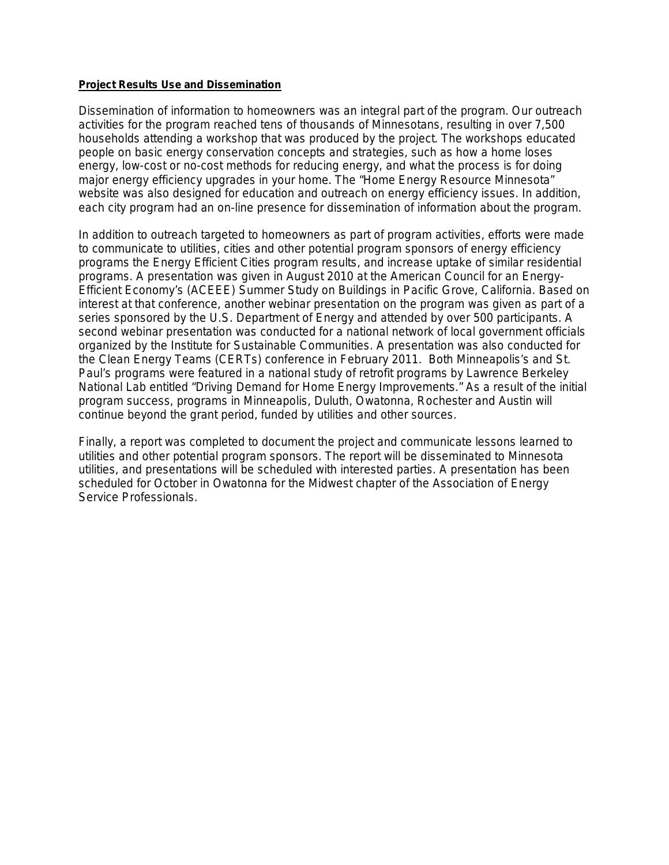#### **Project Results Use and Dissemination**

Dissemination of information to homeowners was an integral part of the program. Our outreach activities for the program reached tens of thousands of Minnesotans, resulting in over 7,500 households attending a workshop that was produced by the project. The workshops educated people on basic energy conservation concepts and strategies, such as how a home loses energy, low-cost or no-cost methods for reducing energy, and what the process is for doing major energy efficiency upgrades in your home. The "Home Energy Resource Minnesota" website was also designed for education and outreach on energy efficiency issues. In addition, each city program had an on-line presence for dissemination of information about the program.

In addition to outreach targeted to homeowners as part of program activities, efforts were made to communicate to utilities, cities and other potential program sponsors of energy efficiency programs the Energy Efficient Cities program results, and increase uptake of similar residential programs. A presentation was given in August 2010 at the American Council for an Energy-Efficient Economy's (ACEEE) Summer Study on Buildings in Pacific Grove, California. Based on interest at that conference, another webinar presentation on the program was given as part of a series sponsored by the U.S. Department of Energy and attended by over 500 participants. A second webinar presentation was conducted for a national network of local government officials organized by the Institute for Sustainable Communities. A presentation was also conducted for the Clean Energy Teams (CERTs) conference in February 2011. Both Minneapolis's and St. Paul's programs were featured in a national study of retrofit programs by Lawrence Berkeley National Lab entitled "Driving Demand for Home Energy Improvements." As a result of the initial program success, programs in Minneapolis, Duluth, Owatonna, Rochester and Austin will continue beyond the grant period, funded by utilities and other sources.

Finally, a report was completed to document the project and communicate lessons learned to utilities and other potential program sponsors. The report will be disseminated to Minnesota utilities, and presentations will be scheduled with interested parties. A presentation has been scheduled for October in Owatonna for the Midwest chapter of the Association of Energy Service Professionals.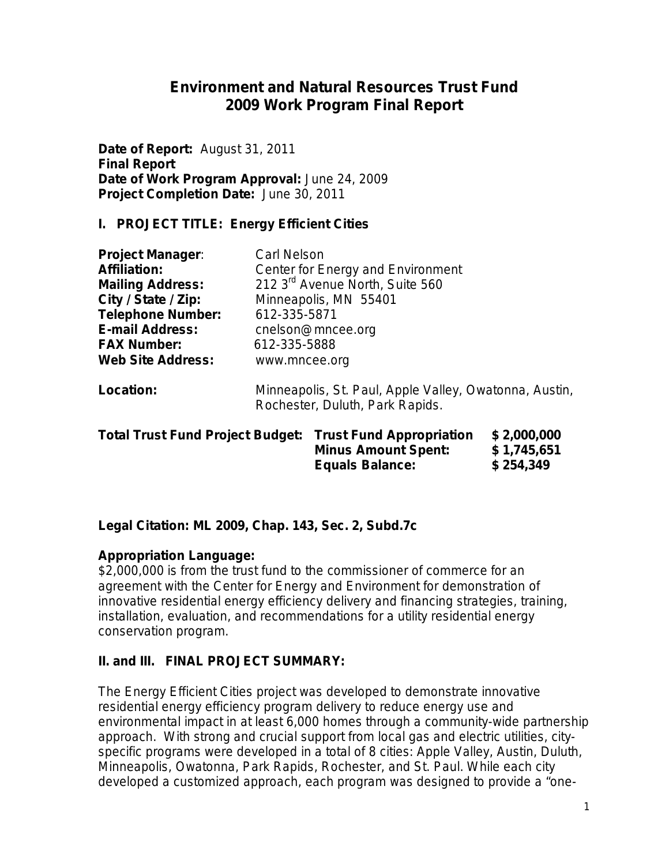# **Environment and Natural Resources Trust Fund 2009 Work Program Final Report**

**Date of Report:** August 31, 2011 **Final Report Date of Work Program Approval:** June 24, 2009 **Project Completion Date:** June 30, 2011

## **I. PROJECT TITLE: Energy Efficient Cities**

| <b>Project Manager:</b>  | <b>Carl Nelson</b>                                                                        |
|--------------------------|-------------------------------------------------------------------------------------------|
| <b>Affiliation:</b>      | Center for Energy and Environment                                                         |
| <b>Mailing Address:</b>  | 212 3 <sup>rd</sup> Avenue North, Suite 560                                               |
| City / State / Zip:      | Minneapolis, MN 55401                                                                     |
| <b>Telephone Number:</b> | 612-335-5871                                                                              |
| <b>E-mail Address:</b>   | cnelson@mncee.org                                                                         |
| <b>FAX Number:</b>       | 612-335-5888                                                                              |
| <b>Web Site Address:</b> | www.mncee.org                                                                             |
| Location:                | Minneapolis, St. Paul, Apple Valley, Owatonna, Austin,<br>Rochester, Duluth, Park Rapids. |

| <b>Total Trust Fund Project Budget: Trust Fund Appropriation</b> | <b>Minus Amount Spent:</b><br><b>Equals Balance:</b> | \$2,000,000<br>\$1,745,651<br>\$254,349 |
|------------------------------------------------------------------|------------------------------------------------------|-----------------------------------------|
|                                                                  |                                                      |                                         |

## **Legal Citation: ML 2009, Chap. 143, Sec. 2, Subd.7c**

## **Appropriation Language:**

\$2,000,000 is from the trust fund to the commissioner of commerce for an agreement with the Center for Energy and Environment for demonstration of innovative residential energy efficiency delivery and financing strategies, training, installation, evaluation, and recommendations for a utility residential energy conservation program.

## **II. and III. FINAL PROJECT SUMMARY:**

The Energy Efficient Cities project was developed to demonstrate innovative residential energy efficiency program delivery to reduce energy use and environmental impact in at least 6,000 homes through a community-wide partnership approach. With strong and crucial support from local gas and electric utilities, cityspecific programs were developed in a total of 8 cities: Apple Valley, Austin, Duluth, Minneapolis, Owatonna, Park Rapids, Rochester, and St. Paul. While each city developed a customized approach, each program was designed to provide a "one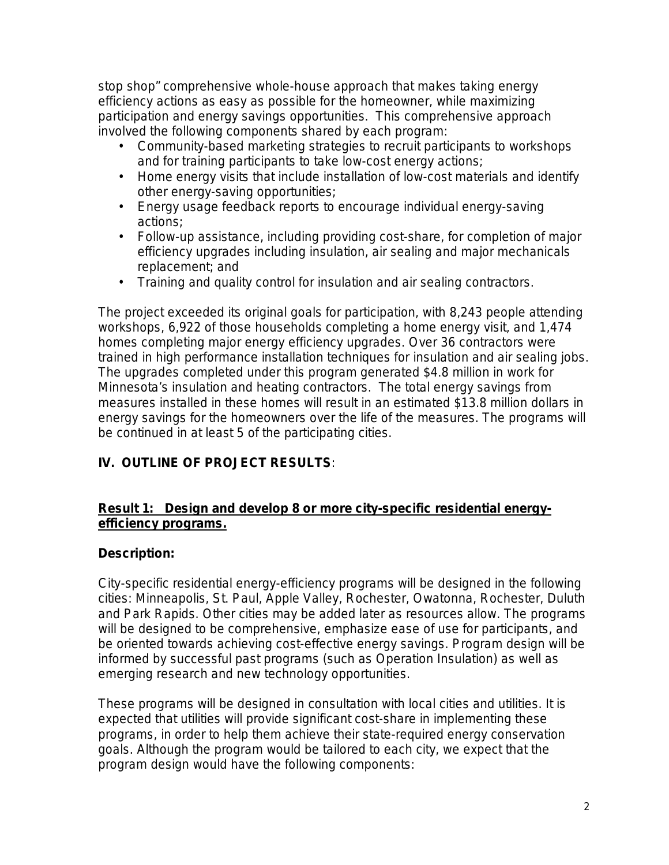stop shop" comprehensive whole-house approach that makes taking energy efficiency actions as easy as possible for the homeowner, while maximizing participation and energy savings opportunities. This comprehensive approach involved the following components shared by each program:

- Community-based marketing strategies to recruit participants to workshops and for training participants to take low-cost energy actions;
- Home energy visits that include installation of low-cost materials and identify other energy-saving opportunities;
- Energy usage feedback reports to encourage individual energy-saving actions;
- Follow-up assistance, including providing cost-share, for completion of major efficiency upgrades including insulation, air sealing and major mechanicals replacement; and
- Training and quality control for insulation and air sealing contractors.

The project exceeded its original goals for participation, with 8,243 people attending workshops, 6,922 of those households completing a home energy visit, and 1,474 homes completing major energy efficiency upgrades. Over 36 contractors were trained in high performance installation techniques for insulation and air sealing jobs. The upgrades completed under this program generated \$4.8 million in work for Minnesota's insulation and heating contractors. The total energy savings from measures installed in these homes will result in an estimated \$13.8 million dollars in energy savings for the homeowners over the life of the measures. The programs will be continued in at least 5 of the participating cities.

# **IV. OUTLINE OF PROJECT RESULTS***:*

## **Result 1: Design and develop 8 or more city-specific residential energyefficiency programs.**

## **Description:**

City-specific residential energy-efficiency programs will be designed in the following cities: Minneapolis, St. Paul, Apple Valley, Rochester, Owatonna, Rochester, Duluth and Park Rapids. Other cities may be added later as resources allow. The programs will be designed to be comprehensive, emphasize ease of use for participants, and be oriented towards achieving cost-effective energy savings. Program design will be informed by successful past programs (such as Operation Insulation) as well as emerging research and new technology opportunities.

These programs will be designed in consultation with local cities and utilities. It is expected that utilities will provide significant cost-share in implementing these programs, in order to help them achieve their state-required energy conservation goals. Although the program would be tailored to each city, we expect that the program design would have the following components: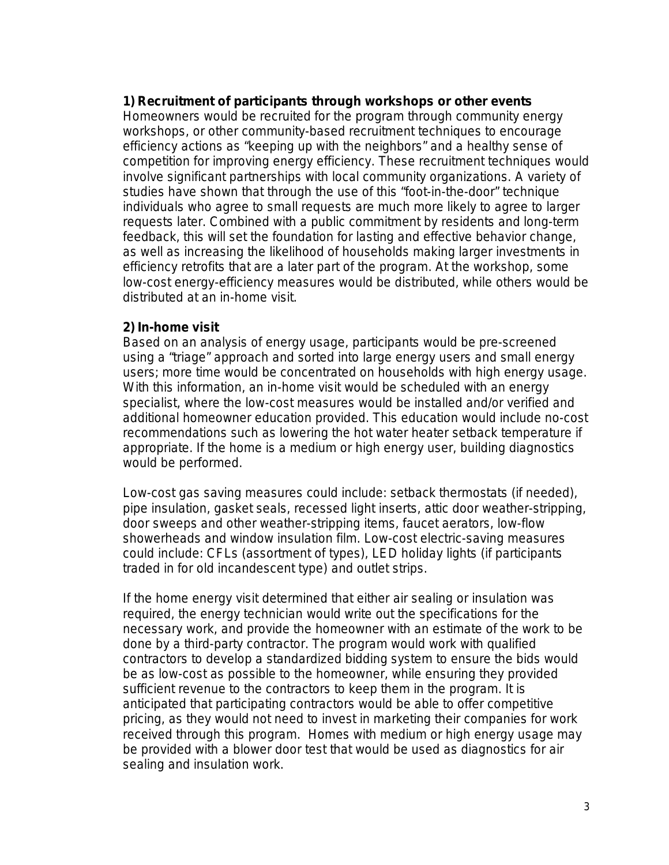### *1) Recruitment of participants through workshops or other events*

Homeowners would be recruited for the program through community energy workshops, or other community-based recruitment techniques to encourage efficiency actions as "keeping up with the neighbors" and a healthy sense of competition for improving energy efficiency. These recruitment techniques would involve significant partnerships with local community organizations. A variety of studies have shown that through the use of this "foot-in-the-door" technique individuals who agree to small requests are much more likely to agree to larger requests later. Combined with a public commitment by residents and long-term feedback, this will set the foundation for lasting and effective behavior change, as well as increasing the likelihood of households making larger investments in efficiency retrofits that are a later part of the program. At the workshop, some low-cost energy-efficiency measures would be distributed, while others would be distributed at an in-home visit.

#### *2) In-home visit*

Based on an analysis of energy usage, participants would be pre-screened using a "triage" approach and sorted into large energy users and small energy users; more time would be concentrated on households with high energy usage. With this information, an in-home visit would be scheduled with an energy specialist, where the low-cost measures would be installed and/or verified and additional homeowner education provided. This education would include no-cost recommendations such as lowering the hot water heater setback temperature if appropriate. If the home is a medium or high energy user, building diagnostics would be performed.

Low-cost gas saving measures could include: setback thermostats (if needed), pipe insulation, gasket seals, recessed light inserts, attic door weather-stripping, door sweeps and other weather-stripping items, faucet aerators, low-flow showerheads and window insulation film. Low-cost electric-saving measures could include: CFLs (assortment of types), LED holiday lights (if participants traded in for old incandescent type) and outlet strips.

If the home energy visit determined that either air sealing or insulation was required, the energy technician would write out the specifications for the necessary work, and provide the homeowner with an estimate of the work to be done by a third-party contractor. The program would work with qualified contractors to develop a standardized bidding system to ensure the bids would be as low-cost as possible to the homeowner, while ensuring they provided sufficient revenue to the contractors to keep them in the program. It is anticipated that participating contractors would be able to offer competitive pricing, as they would not need to invest in marketing their companies for work received through this program. Homes with medium or high energy usage may be provided with a blower door test that would be used as diagnostics for air sealing and insulation work.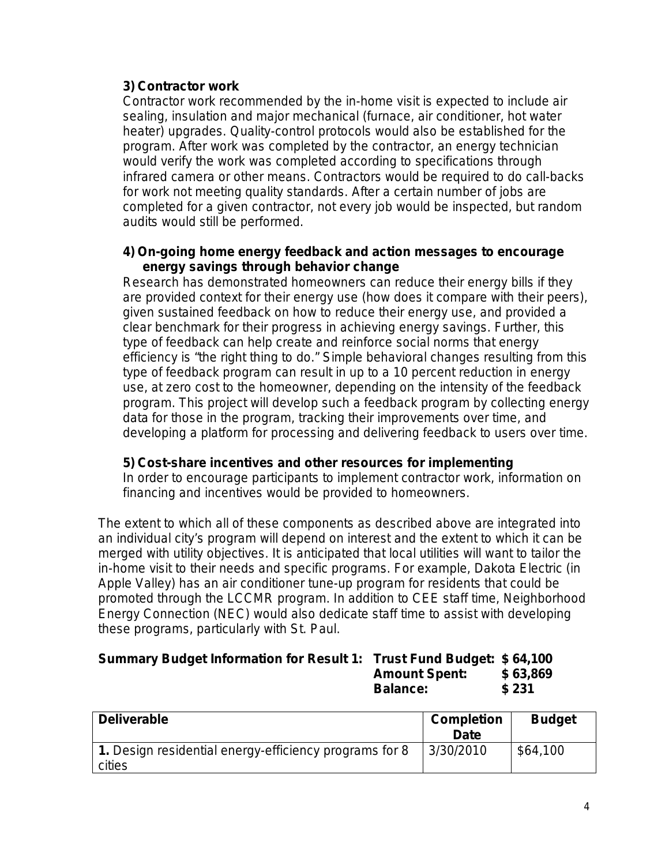## *3) Contractor work*

Contractor work recommended by the in-home visit is expected to include air sealing, insulation and major mechanical (furnace, air conditioner, hot water heater) upgrades. Quality-control protocols would also be established for the program. After work was completed by the contractor, an energy technician would verify the work was completed according to specifications through infrared camera or other means. Contractors would be required to do call-backs for work not meeting quality standards. After a certain number of jobs are completed for a given contractor, not every job would be inspected, but random audits would still be performed.

### *4) On-going home energy feedback and action messages to encourage energy savings through behavior change*

Research has demonstrated homeowners can reduce their energy bills if they are provided context for their energy use (how does it compare with their peers), given sustained feedback on how to reduce their energy use, and provided a clear benchmark for their progress in achieving energy savings. Further, this type of feedback can help create and reinforce social norms that energy efficiency is "the right thing to do." Simple behavioral changes resulting from this type of feedback program can result in up to a 10 percent reduction in energy use, at zero cost to the homeowner, depending on the intensity of the feedback program. This project will develop such a feedback program by collecting energy data for those in the program, tracking their improvements over time, and developing a platform for processing and delivering feedback to users over time.

## *5) Cost-share incentives and other resources for implementing*

In order to encourage participants to implement contractor work, information on financing and incentives would be provided to homeowners.

The extent to which all of these components as described above are integrated into an individual city's program will depend on interest and the extent to which it can be merged with utility objectives. It is anticipated that local utilities will want to tailor the in-home visit to their needs and specific programs. For example, Dakota Electric (in Apple Valley) has an air conditioner tune-up program for residents that could be promoted through the LCCMR program. In addition to CEE staff time, Neighborhood Energy Connection (NEC) would also dedicate staff time to assist with developing these programs, particularly with St. Paul.

### **Summary Budget Information for Result 1: Trust Fund Budget: \$ 64,100 Amount Spent: \$ 63,869 Balance: \$ 231**

| <b>Deliverable</b>                                               | <b>Completion</b><br>Date | <b>Budget</b> |
|------------------------------------------------------------------|---------------------------|---------------|
| 1. Design residential energy-efficiency programs for 8<br>cities | 3/30/2010                 | \$64,100      |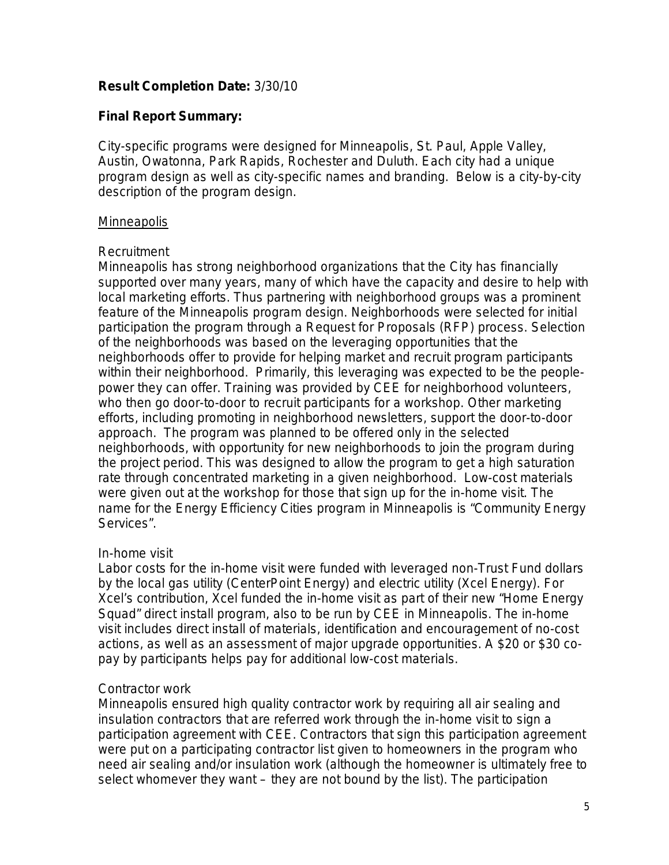## **Result Completion Date:** 3/30/10

## **Final Report Summary:**

City-specific programs were designed for Minneapolis, St. Paul, Apple Valley, Austin, Owatonna, Park Rapids, Rochester and Duluth. Each city had a unique program design as well as city-specific names and branding. Below is a city-by-city description of the program design.

## **Minneapolis**

## *Recruitment*

Minneapolis has strong neighborhood organizations that the City has financially supported over many years, many of which have the capacity and desire to help with local marketing efforts. Thus partnering with neighborhood groups was a prominent feature of the Minneapolis program design. Neighborhoods were selected for initial participation the program through a Request for Proposals (RFP) process. Selection of the neighborhoods was based on the leveraging opportunities that the neighborhoods offer to provide for helping market and recruit program participants within their neighborhood. Primarily, this leveraging was expected to be the peoplepower they can offer. Training was provided by CEE for neighborhood volunteers, who then go door-to-door to recruit participants for a workshop. Other marketing efforts, including promoting in neighborhood newsletters, support the door-to-door approach. The program was planned to be offered only in the selected neighborhoods, with opportunity for new neighborhoods to join the program during the project period. This was designed to allow the program to get a high saturation rate through concentrated marketing in a given neighborhood. Low-cost materials were given out at the workshop for those that sign up for the in-home visit. The name for the Energy Efficiency Cities program in Minneapolis is "Community Energy Services".

## *In-home visit*

Labor costs for the in-home visit were funded with leveraged non-Trust Fund dollars by the local gas utility (CenterPoint Energy) and electric utility (Xcel Energy). For Xcel's contribution, Xcel funded the in-home visit as part of their new "Home Energy Squad" direct install program, also to be run by CEE in Minneapolis. The in-home visit includes direct install of materials, identification and encouragement of no-cost actions, as well as an assessment of major upgrade opportunities. A \$20 or \$30 copay by participants helps pay for additional low-cost materials.

## *Contractor work*

Minneapolis ensured high quality contractor work by requiring all air sealing and insulation contractors that are referred work through the in-home visit to sign a participation agreement with CEE. Contractors that sign this participation agreement were put on a participating contractor list given to homeowners in the program who need air sealing and/or insulation work (although the homeowner is ultimately free to select whomever they want – they are not bound by the list). The participation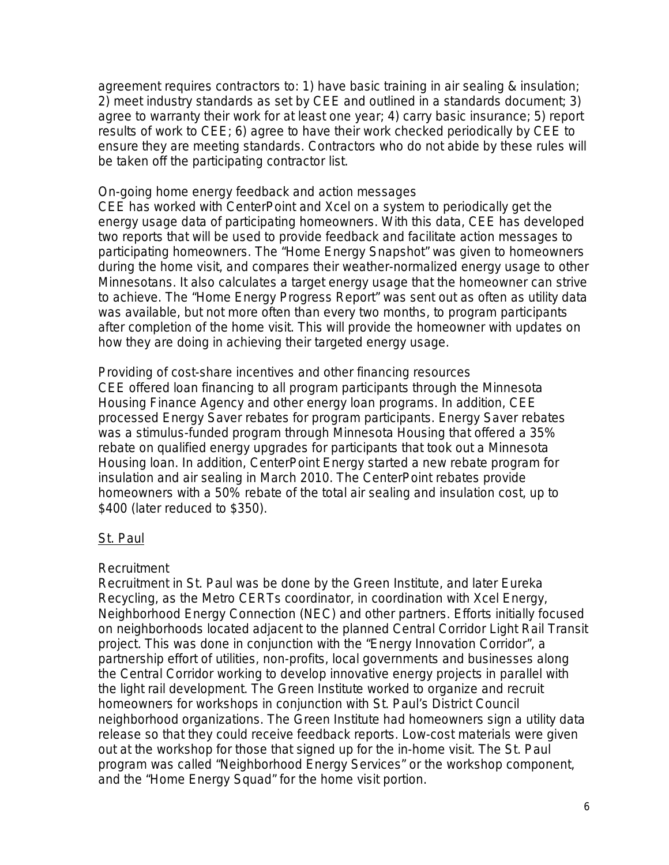agreement requires contractors to: 1) have basic training in air sealing & insulation; 2) meet industry standards as set by CEE and outlined in a standards document; 3) agree to warranty their work for at least one year; 4) carry basic insurance; 5) report results of work to CEE; 6) agree to have their work checked periodically by CEE to ensure they are meeting standards. Contractors who do not abide by these rules will be taken off the participating contractor list.

#### *On-going home energy feedback and action messages*

CEE has worked with CenterPoint and Xcel on a system to periodically get the energy usage data of participating homeowners. With this data, CEE has developed two reports that will be used to provide feedback and facilitate action messages to participating homeowners. The "Home Energy Snapshot" was given to homeowners during the home visit, and compares their weather-normalized energy usage to other Minnesotans. It also calculates a target energy usage that the homeowner can strive to achieve. The "Home Energy Progress Report" was sent out as often as utility data was available, but not more often than every two months, to program participants after completion of the home visit. This will provide the homeowner with updates on how they are doing in achieving their targeted energy usage.

#### *Providing of cost-share incentives and other financing resources*

CEE offered loan financing to all program participants through the Minnesota Housing Finance Agency and other energy loan programs. In addition, CEE processed Energy Saver rebates for program participants. Energy Saver rebates was a stimulus-funded program through Minnesota Housing that offered a 35% rebate on qualified energy upgrades for participants that took out a Minnesota Housing loan. In addition, CenterPoint Energy started a new rebate program for insulation and air sealing in March 2010. The CenterPoint rebates provide homeowners with a 50% rebate of the total air sealing and insulation cost, up to \$400 (later reduced to \$350).

#### St. Paul

#### *Recruitment*

Recruitment in St. Paul was be done by the Green Institute, and later Eureka Recycling, as the Metro CERTs coordinator, in coordination with Xcel Energy, Neighborhood Energy Connection (NEC) and other partners. Efforts initially focused on neighborhoods located adjacent to the planned Central Corridor Light Rail Transit project. This was done in conjunction with the "Energy Innovation Corridor", a partnership effort of utilities, non-profits, local governments and businesses along the Central Corridor working to develop innovative energy projects in parallel with the light rail development. The Green Institute worked to organize and recruit homeowners for workshops in conjunction with St. Paul's District Council neighborhood organizations. The Green Institute had homeowners sign a utility data release so that they could receive feedback reports. Low-cost materials were given out at the workshop for those that signed up for the in-home visit. The St. Paul program was called "Neighborhood Energy Services" or the workshop component, and the "Home Energy Squad" for the home visit portion.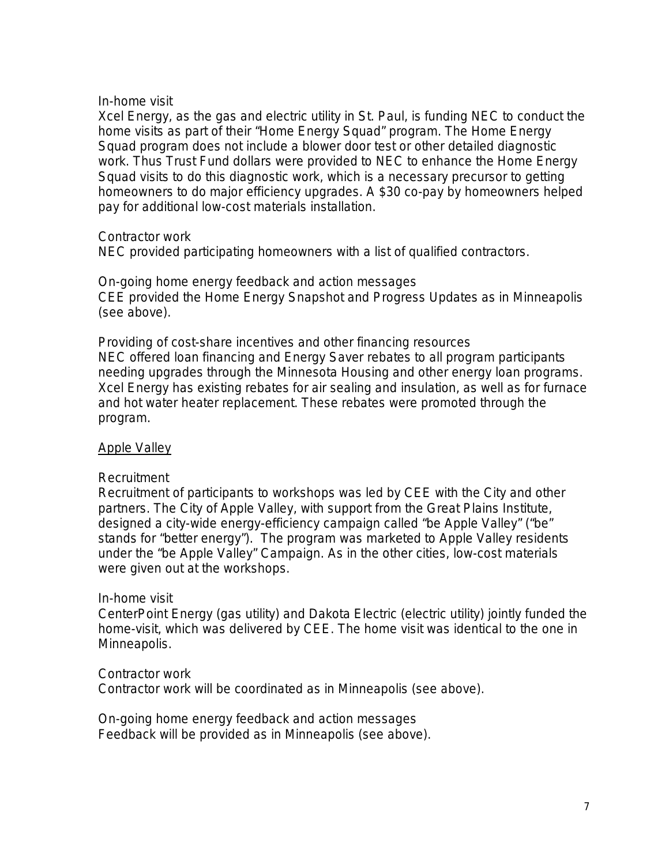#### *In-home visit*

Xcel Energy, as the gas and electric utility in St. Paul, is funding NEC to conduct the home visits as part of their "Home Energy Squad" program. The Home Energy Squad program does not include a blower door test or other detailed diagnostic work. Thus Trust Fund dollars were provided to NEC to enhance the Home Energy Squad visits to do this diagnostic work, which is a necessary precursor to getting homeowners to do major efficiency upgrades. A \$30 co-pay by homeowners helped pay for additional low-cost materials installation.

## *Contractor work*

NEC provided participating homeowners with a list of qualified contractors.

#### *On-going home energy feedback and action messages*

CEE provided the Home Energy Snapshot and Progress Updates as in Minneapolis (see above).

#### *Providing of cost-share incentives and other financing resources*

NEC offered loan financing and Energy Saver rebates to all program participants needing upgrades through the Minnesota Housing and other energy loan programs. Xcel Energy has existing rebates for air sealing and insulation, as well as for furnace and hot water heater replacement. These rebates were promoted through the program.

## Apple Valley

#### *Recruitment*

Recruitment of participants to workshops was led by CEE with the City and other partners. The City of Apple Valley, with support from the Great Plains Institute, designed a city-wide energy-efficiency campaign called "be Apple Valley" ("be" stands for "better energy"). The program was marketed to Apple Valley residents under the "be Apple Valley" Campaign. As in the other cities, low-cost materials were given out at the workshops.

#### *In-home visit*

CenterPoint Energy (gas utility) and Dakota Electric (electric utility) jointly funded the home-visit, which was delivered by CEE. The home visit was identical to the one in Minneapolis.

## *Contractor work*

Contractor work will be coordinated as in Minneapolis (see above).

*On-going home energy feedback and action messages* Feedback will be provided as in Minneapolis (see above).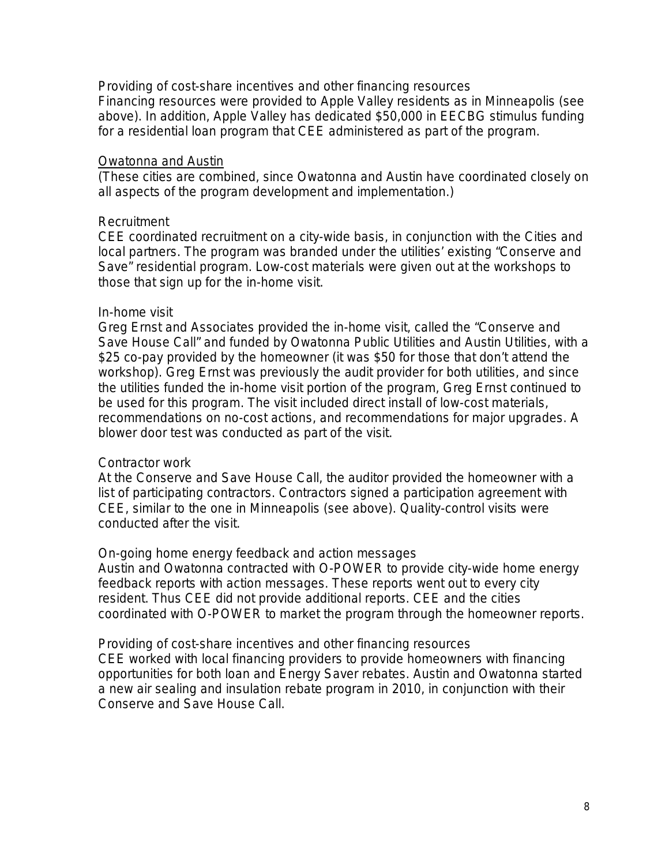#### *Providing of cost-share incentives and other financing resources*

Financing resources were provided to Apple Valley residents as in Minneapolis (see above). In addition, Apple Valley has dedicated \$50,000 in EECBG stimulus funding for a residential loan program that CEE administered as part of the program.

#### Owatonna and Austin

(These cities are combined, since Owatonna and Austin have coordinated closely on all aspects of the program development and implementation.)

#### *Recruitment*

CEE coordinated recruitment on a city-wide basis, in conjunction with the Cities and local partners. The program was branded under the utilities' existing "Conserve and Save" residential program. Low-cost materials were given out at the workshops to those that sign up for the in-home visit.

#### *In-home visit*

Greg Ernst and Associates provided the in-home visit, called the "Conserve and Save House Call" and funded by Owatonna Public Utilities and Austin Utilities, with a \$25 co-pay provided by the homeowner (it was \$50 for those that don't attend the workshop). Greg Ernst was previously the audit provider for both utilities, and since the utilities funded the in-home visit portion of the program, Greg Ernst continued to be used for this program. The visit included direct install of low-cost materials, recommendations on no-cost actions, and recommendations for major upgrades. A blower door test was conducted as part of the visit.

#### *Contractor work*

At the Conserve and Save House Call, the auditor provided the homeowner with a list of participating contractors. Contractors signed a participation agreement with CEE, similar to the one in Minneapolis (see above). Quality-control visits were conducted after the visit.

#### *On-going home energy feedback and action messages*

Austin and Owatonna contracted with O-POWER to provide city-wide home energy feedback reports with action messages. These reports went out to every city resident. Thus CEE did not provide additional reports. CEE and the cities coordinated with O-POWER to market the program through the homeowner reports.

#### *Providing of cost-share incentives and other financing resources*

CEE worked with local financing providers to provide homeowners with financing opportunities for both loan and Energy Saver rebates. Austin and Owatonna started a new air sealing and insulation rebate program in 2010, in conjunction with their Conserve and Save House Call.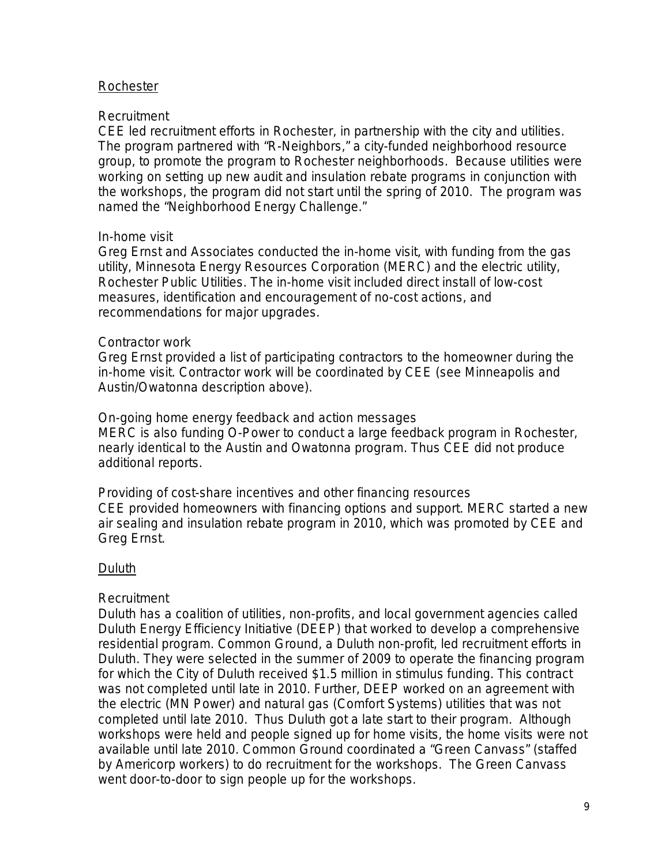### Rochester

#### *Recruitment*

CEE led recruitment efforts in Rochester, in partnership with the city and utilities. The program partnered with "R-Neighbors," a city-funded neighborhood resource group, to promote the program to Rochester neighborhoods. Because utilities were working on setting up new audit and insulation rebate programs in conjunction with the workshops, the program did not start until the spring of 2010. The program was named the "Neighborhood Energy Challenge."

### *In-home visit*

Greg Ernst and Associates conducted the in-home visit, with funding from the gas utility, Minnesota Energy Resources Corporation (MERC) and the electric utility, Rochester Public Utilities. The in-home visit included direct install of low-cost measures, identification and encouragement of no-cost actions, and recommendations for major upgrades.

### *Contractor work*

Greg Ernst provided a list of participating contractors to the homeowner during the in-home visit. Contractor work will be coordinated by CEE (see Minneapolis and Austin/Owatonna description above).

### *On-going home energy feedback and action messages*

MERC is also funding O-Power to conduct a large feedback program in Rochester, nearly identical to the Austin and Owatonna program. Thus CEE did not produce additional reports.

#### *Providing of cost-share incentives and other financing resources*

CEE provided homeowners with financing options and support. MERC started a new air sealing and insulation rebate program in 2010, which was promoted by CEE and Greg Ernst.

## Duluth

## *Recruitment*

Duluth has a coalition of utilities, non-profits, and local government agencies called Duluth Energy Efficiency Initiative (DEEP) that worked to develop a comprehensive residential program. Common Ground, a Duluth non-profit, led recruitment efforts in Duluth. They were selected in the summer of 2009 to operate the financing program for which the City of Duluth received \$1.5 million in stimulus funding. This contract was not completed until late in 2010. Further, DEEP worked on an agreement with the electric (MN Power) and natural gas (Comfort Systems) utilities that was not completed until late 2010. Thus Duluth got a late start to their program. Although workshops were held and people signed up for home visits, the home visits were not available until late 2010. Common Ground coordinated a "Green Canvass" (staffed by Americorp workers) to do recruitment for the workshops. The Green Canvass went door-to-door to sign people up for the workshops.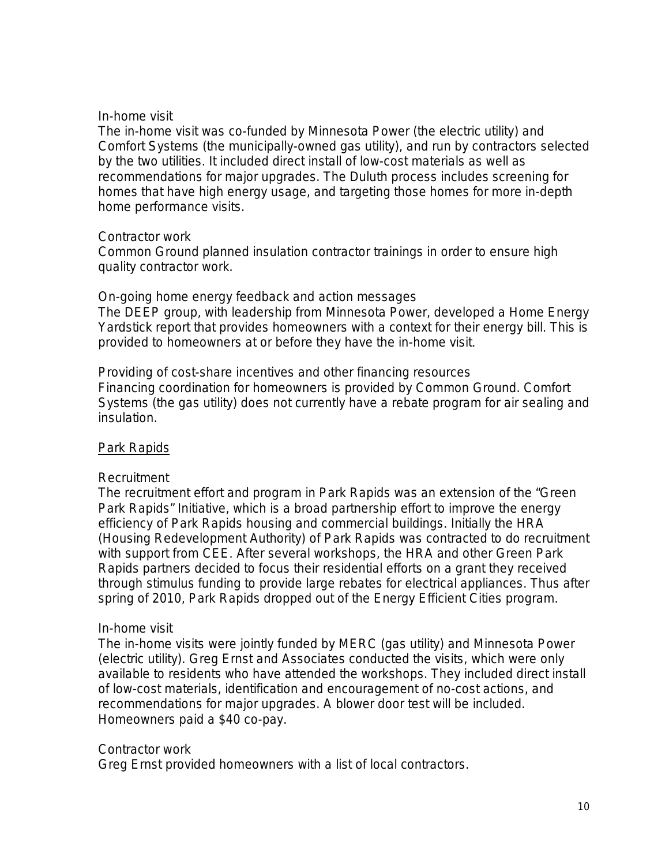### *In-home visit*

The in-home visit was co-funded by Minnesota Power (the electric utility) and Comfort Systems (the municipally-owned gas utility), and run by contractors selected by the two utilities. It included direct install of low-cost materials as well as recommendations for major upgrades. The Duluth process includes screening for homes that have high energy usage, and targeting those homes for more in-depth home performance visits.

### *Contractor work*

Common Ground planned insulation contractor trainings in order to ensure high quality contractor work.

#### *On-going home energy feedback and action messages*

The DEEP group, with leadership from Minnesota Power, developed a Home Energy Yardstick report that provides homeowners with a context for their energy bill. This is provided to homeowners at or before they have the in-home visit.

#### *Providing of cost-share incentives and other financing resources* Financing coordination for homeowners is provided by Common Ground. Comfort Systems (the gas utility) does not currently have a rebate program for air sealing and insulation.

## Park Rapids

## *Recruitment*

The recruitment effort and program in Park Rapids was an extension of the "Green Park Rapids" Initiative, which is a broad partnership effort to improve the energy efficiency of Park Rapids housing and commercial buildings. Initially the HRA (Housing Redevelopment Authority) of Park Rapids was contracted to do recruitment with support from CEE. After several workshops, the HRA and other Green Park Rapids partners decided to focus their residential efforts on a grant they received through stimulus funding to provide large rebates for electrical appliances. Thus after spring of 2010, Park Rapids dropped out of the Energy Efficient Cities program.

## *In-home visit*

The in-home visits were jointly funded by MERC (gas utility) and Minnesota Power (electric utility). Greg Ernst and Associates conducted the visits, which were only available to residents who have attended the workshops. They included direct install of low-cost materials, identification and encouragement of no-cost actions, and recommendations for major upgrades. A blower door test will be included. Homeowners paid a \$40 co-pay.

#### *Contractor work*

Greg Ernst provided homeowners with a list of local contractors.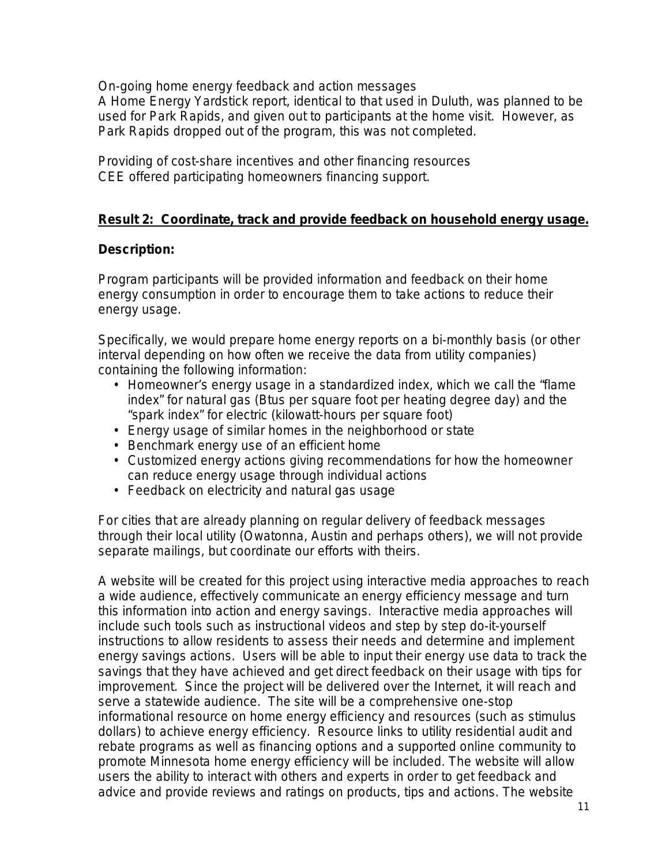*On-going home energy feedback and action messages*

A Home Energy Yardstick report, identical to that used in Duluth, was planned to be used for Park Rapids, and given out to participants at the home visit. However, as Park Rapids dropped out of the program, this was not completed.

*Providing of cost-share incentives and other financing resources* CEE offered participating homeowners financing support.

## **Result 2: Coordinate, track and provide feedback on household energy usage.**

## **Description:**

Program participants will be provided information and feedback on their home energy consumption in order to encourage them to take actions to reduce their energy usage.

Specifically, we would prepare home energy reports on a bi-monthly basis (or other interval depending on how often we receive the data from utility companies) containing the following information:

- Homeowner's energy usage in a standardized index, which we call the "flame index" for natural gas (Btus per square foot per heating degree day) and the "spark index" for electric (kilowatt-hours per square foot)
- Energy usage of similar homes in the neighborhood or state
- Benchmark energy use of an efficient home
- Customized energy actions giving recommendations for how the homeowner can reduce energy usage through individual actions
- Feedback on electricity and natural gas usage

For cities that are already planning on regular delivery of feedback messages through their local utility (Owatonna, Austin and perhaps others), we will not provide separate mailings, but coordinate our efforts with theirs.

A website will be created for this project using interactive media approaches to reach a wide audience, effectively communicate an energy efficiency message and turn this information into action and energy savings. Interactive media approaches will include such tools such as instructional videos and step by step do-it-yourself instructions to allow residents to assess their needs and determine and implement energy savings actions. Users will be able to input their energy use data to track the savings that they have achieved and get direct feedback on their usage with tips for improvement. Since the project will be delivered over the Internet, it will reach and serve a statewide audience. The site will be a comprehensive one-stop informational resource on home energy efficiency and resources (such as stimulus dollars) to achieve energy efficiency. Resource links to utility residential audit and rebate programs as well as financing options and a supported online community to promote Minnesota home energy efficiency will be included. The website will allow users the ability to interact with others and experts in order to get feedback and advice and provide reviews and ratings on products, tips and actions. The website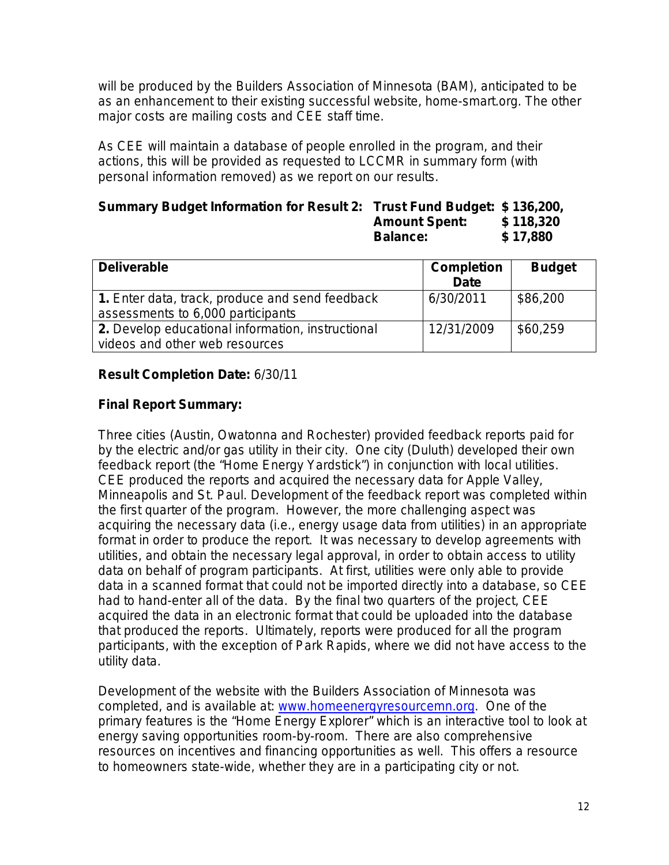will be produced by the Builders Association of Minnesota (BAM), anticipated to be as an enhancement to their existing successful website, home-smart.org. The other major costs are mailing costs and CEE staff time.

As CEE will maintain a database of people enrolled in the program, and their actions, this will be provided as requested to LCCMR in summary form (with personal information removed) as we report on our results.

#### **Summary Budget Information for Result 2: Trust Fund Budget: \$ 136,200, Amount Spent: \$ 118,320 Balance: \$ 17,880**

| <b>Deliverable</b>                                                                   | <b>Completion</b><br><b>Date</b> | <b>Budget</b> |
|--------------------------------------------------------------------------------------|----------------------------------|---------------|
| 1. Enter data, track, produce and send feedback<br>assessments to 6,000 participants | 6/30/2011                        | \$86,200      |
| 2. Develop educational information, instructional<br>videos and other web resources  | 12/31/2009                       | \$60,259      |

# **Result Completion Date:** 6/30/11

## **Final Report Summary:**

Three cities (Austin, Owatonna and Rochester) provided feedback reports paid for by the electric and/or gas utility in their city. One city (Duluth) developed their own feedback report (the "Home Energy Yardstick") in conjunction with local utilities. CEE produced the reports and acquired the necessary data for Apple Valley, Minneapolis and St. Paul. Development of the feedback report was completed within the first quarter of the program. However, the more challenging aspect was acquiring the necessary data (i.e., energy usage data from utilities) in an appropriate format in order to produce the report. It was necessary to develop agreements with utilities, and obtain the necessary legal approval, in order to obtain access to utility data on behalf of program participants. At first, utilities were only able to provide data in a scanned format that could not be imported directly into a database, so CEE had to hand-enter all of the data. By the final two quarters of the project, CEE acquired the data in an electronic format that could be uploaded into the database that produced the reports. Ultimately, reports were produced for all the program participants, with the exception of Park Rapids, where we did not have access to the utility data.

Development of the website with the Builders Association of Minnesota was completed, and is available at: [www.homeenergyresourcemn.org.](http://www.homeenergyresourcemn.org/) One of the primary features is the "Home Energy Explorer" which is an interactive tool to look at energy saving opportunities room-by-room. There are also comprehensive resources on incentives and financing opportunities as well. This offers a resource to homeowners state-wide, whether they are in a participating city or not.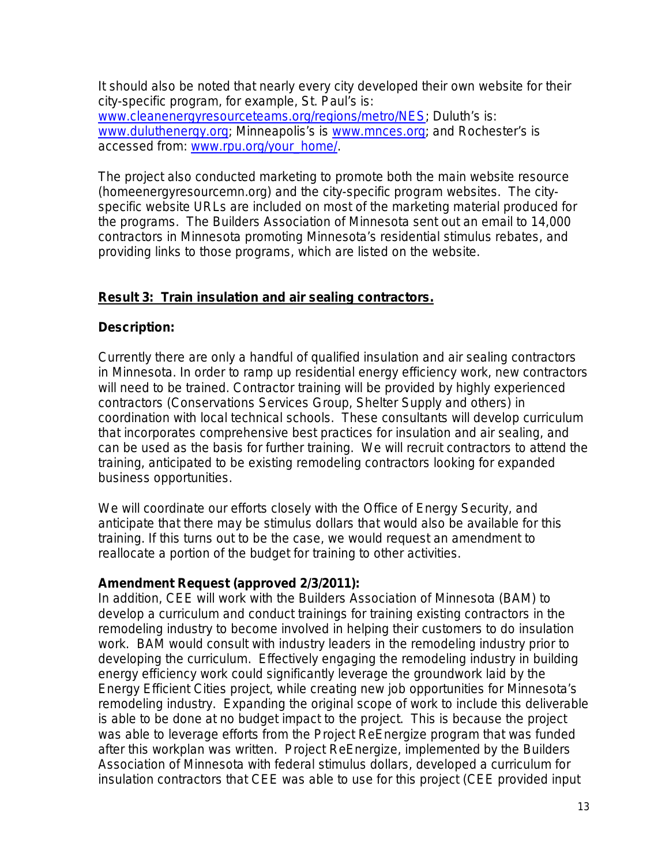It should also be noted that nearly every city developed their own website for their city-specific program, for example, St. Paul's is: [www.cleanenergyresourceteams.org/regions/metro/NES;](http://www.cleanenergyresourceteams.org/regions/metro/NES) Duluth's is: [www.duluthenergy.org;](http://www.duluthenergy.org/) Minneapolis's is [www.mnces.org;](http://www.mnces.org/) and Rochester's is accessed from: [www.rpu.org/your\\_home/.](http://www.rpu.org/your_home/)

The project also conducted marketing to promote both the main website resource (homeenergyresourcemn.org) and the city-specific program websites. The cityspecific website URLs are included on most of the marketing material produced for the programs. The Builders Association of Minnesota sent out an email to 14,000 contractors in Minnesota promoting Minnesota's residential stimulus rebates, and providing links to those programs, which are listed on the website.

# **Result 3: Train insulation and air sealing contractors.**

# **Description:**

Currently there are only a handful of qualified insulation and air sealing contractors in Minnesota. In order to ramp up residential energy efficiency work, new contractors will need to be trained. Contractor training will be provided by highly experienced contractors (Conservations Services Group, Shelter Supply and others) in coordination with local technical schools. These consultants will develop curriculum that incorporates comprehensive best practices for insulation and air sealing, and can be used as the basis for further training. We will recruit contractors to attend the training, anticipated to be existing remodeling contractors looking for expanded business opportunities.

We will coordinate our efforts closely with the Office of Energy Security, and anticipate that there may be stimulus dollars that would also be available for this training. If this turns out to be the case, we would request an amendment to reallocate a portion of the budget for training to other activities.

## **Amendment Request (approved 2/3/2011):**

In addition, CEE will work with the Builders Association of Minnesota (BAM) to develop a curriculum and conduct trainings for training existing contractors in the remodeling industry to become involved in helping their customers to do insulation work. BAM would consult with industry leaders in the remodeling industry prior to developing the curriculum. Effectively engaging the remodeling industry in building energy efficiency work could significantly leverage the groundwork laid by the Energy Efficient Cities project, while creating new job opportunities for Minnesota's remodeling industry. Expanding the original scope of work to include this deliverable is able to be done at no budget impact to the project. This is because the project was able to leverage efforts from the Project ReEnergize program that was funded after this workplan was written. Project ReEnergize, implemented by the Builders Association of Minnesota with federal stimulus dollars, developed a curriculum for insulation contractors that CEE was able to use for this project (CEE provided input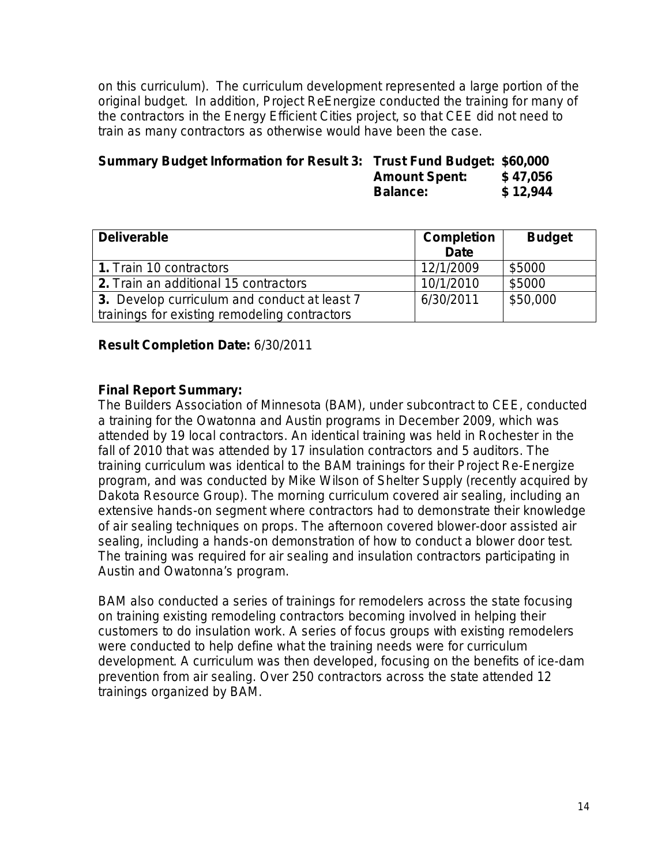on this curriculum). The curriculum development represented a large portion of the original budget. In addition, Project ReEnergize conducted the training for many of the contractors in the Energy Efficient Cities project, so that CEE did not need to train as many contractors as otherwise would have been the case.

| Summary Budget Information for Result 3: Trust Fund Budget: \$60,000 |                      |          |
|----------------------------------------------------------------------|----------------------|----------|
|                                                                      | <b>Amount Spent:</b> | \$47,056 |
|                                                                      | <b>Balance:</b>      | \$12,944 |

| <b>Deliverable</b>                            | <b>Completion</b><br><b>Date</b> | <b>Budget</b> |
|-----------------------------------------------|----------------------------------|---------------|
| 1. Train 10 contractors                       | 12/1/2009                        | \$5000        |
| 2. Train an additional 15 contractors         | 10/1/2010                        | \$5000        |
| 3. Develop curriculum and conduct at least 7  | 6/30/2011                        | \$50,000      |
| trainings for existing remodeling contractors |                                  |               |

### **Result Completion Date:** 6/30/2011

### **Final Report Summary:**

The Builders Association of Minnesota (BAM), under subcontract to CEE, conducted a training for the Owatonna and Austin programs in December 2009, which was attended by 19 local contractors. An identical training was held in Rochester in the fall of 2010 that was attended by 17 insulation contractors and 5 auditors. The training curriculum was identical to the BAM trainings for their Project Re-Energize program, and was conducted by Mike Wilson of Shelter Supply (recently acquired by Dakota Resource Group). The morning curriculum covered air sealing, including an extensive hands-on segment where contractors had to demonstrate their knowledge of air sealing techniques on props. The afternoon covered blower-door assisted air sealing, including a hands-on demonstration of how to conduct a blower door test. The training was required for air sealing and insulation contractors participating in Austin and Owatonna's program.

BAM also conducted a series of trainings for remodelers across the state focusing on training existing remodeling contractors becoming involved in helping their customers to do insulation work. A series of focus groups with existing remodelers were conducted to help define what the training needs were for curriculum development. A curriculum was then developed, focusing on the benefits of ice-dam prevention from air sealing. Over 250 contractors across the state attended 12 trainings organized by BAM.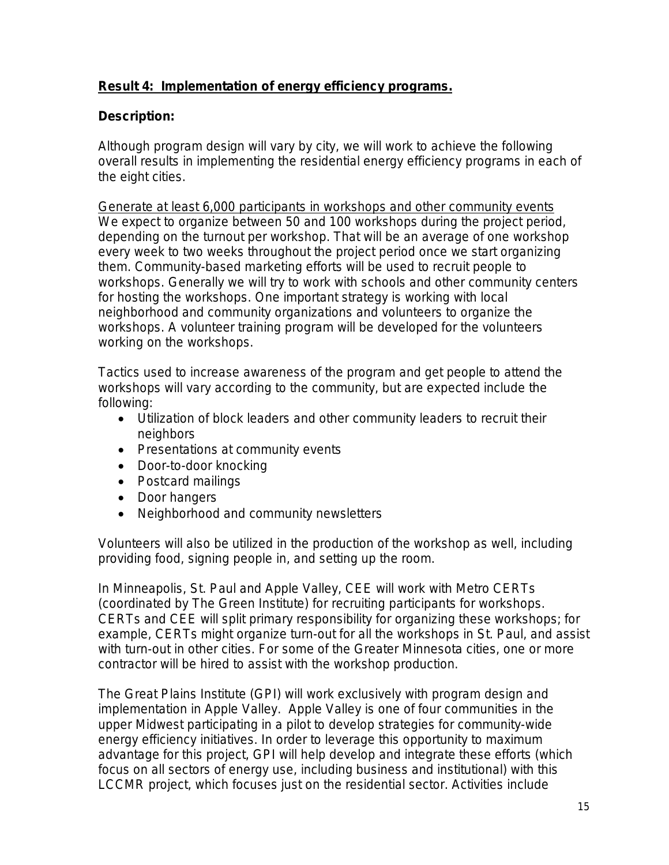# **Result 4: Implementation of energy efficiency programs.**

## **Description:**

Although program design will vary by city, we will work to achieve the following overall results in implementing the residential energy efficiency programs in each of the eight cities.

Generate at least 6,000 participants in workshops and other community events We expect to organize between 50 and 100 workshops during the project period, depending on the turnout per workshop. That will be an average of one workshop every week to two weeks throughout the project period once we start organizing them. Community-based marketing efforts will be used to recruit people to workshops. Generally we will try to work with schools and other community centers for hosting the workshops. One important strategy is working with local neighborhood and community organizations and volunteers to organize the workshops. A volunteer training program will be developed for the volunteers working on the workshops.

Tactics used to increase awareness of the program and get people to attend the workshops will vary according to the community, but are expected include the following:

- Utilization of block leaders and other community leaders to recruit their neighbors
- Presentations at community events
- Door-to-door knocking
- Postcard mailings
- Door hangers
- Neighborhood and community newsletters

Volunteers will also be utilized in the production of the workshop as well, including providing food, signing people in, and setting up the room.

In Minneapolis, St. Paul and Apple Valley, CEE will work with Metro CERTs (coordinated by The Green Institute) for recruiting participants for workshops. CERTs and CEE will split primary responsibility for organizing these workshops; for example, CERTs might organize turn-out for all the workshops in St. Paul, and assist with turn-out in other cities. For some of the Greater Minnesota cities, one or more contractor will be hired to assist with the workshop production.

The Great Plains Institute (GPI) will work exclusively with program design and implementation in Apple Valley. Apple Valley is one of four communities in the upper Midwest participating in a pilot to develop strategies for community-wide energy efficiency initiatives. In order to leverage this opportunity to maximum advantage for this project, GPI will help develop and integrate these efforts (which focus on all sectors of energy use, including business and institutional) with this LCCMR project, which focuses just on the residential sector. Activities include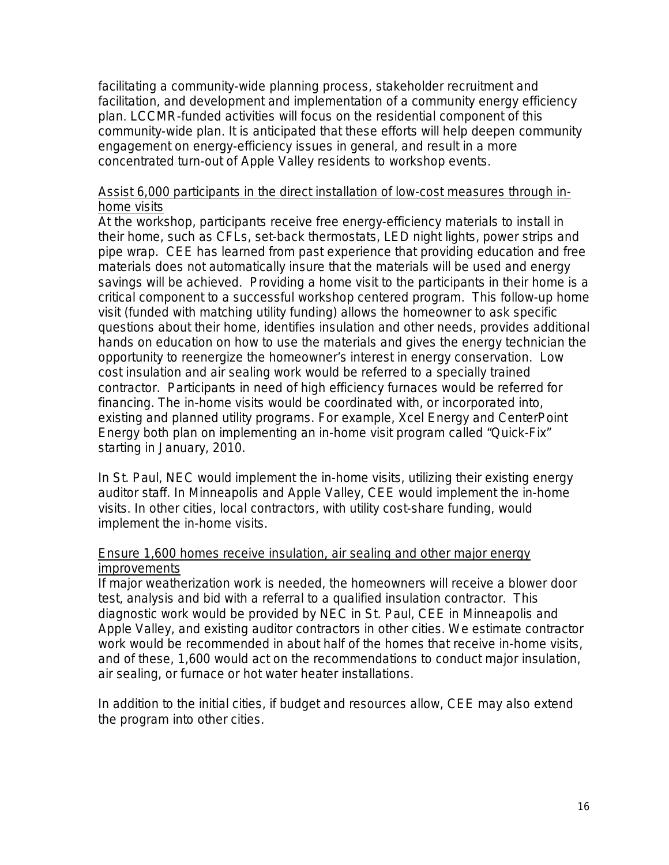facilitating a community-wide planning process, stakeholder recruitment and facilitation, and development and implementation of a community energy efficiency plan. LCCMR-funded activities will focus on the residential component of this community-wide plan. It is anticipated that these efforts will help deepen community engagement on energy-efficiency issues in general, and result in a more concentrated turn-out of Apple Valley residents to workshop events.

#### Assist 6,000 participants in the direct installation of low-cost measures through inhome visits

At the workshop, participants receive free energy-efficiency materials to install in their home, such as CFLs, set-back thermostats, LED night lights, power strips and pipe wrap. CEE has learned from past experience that providing education and free materials does not automatically insure that the materials will be used and energy savings will be achieved. Providing a home visit to the participants in their home is a critical component to a successful workshop centered program. This follow-up home visit (funded with matching utility funding) allows the homeowner to ask specific questions about their home, identifies insulation and other needs, provides additional hands on education on how to use the materials and gives the energy technician the opportunity to reenergize the homeowner's interest in energy conservation. Low cost insulation and air sealing work would be referred to a specially trained contractor. Participants in need of high efficiency furnaces would be referred for financing. The in-home visits would be coordinated with, or incorporated into, existing and planned utility programs. For example, Xcel Energy and CenterPoint Energy both plan on implementing an in-home visit program called "Quick-Fix" starting in January, 2010.

In St. Paul, NEC would implement the in-home visits, utilizing their existing energy auditor staff. In Minneapolis and Apple Valley, CEE would implement the in-home visits. In other cities, local contractors, with utility cost-share funding, would implement the in-home visits.

### Ensure 1,600 homes receive insulation, air sealing and other major energy improvements

If major weatherization work is needed, the homeowners will receive a blower door test, analysis and bid with a referral to a qualified insulation contractor. This diagnostic work would be provided by NEC in St. Paul, CEE in Minneapolis and Apple Valley, and existing auditor contractors in other cities. We estimate contractor work would be recommended in about half of the homes that receive in-home visits, and of these, 1,600 would act on the recommendations to conduct major insulation, air sealing, or furnace or hot water heater installations.

In addition to the initial cities, if budget and resources allow, CEE may also extend the program into other cities.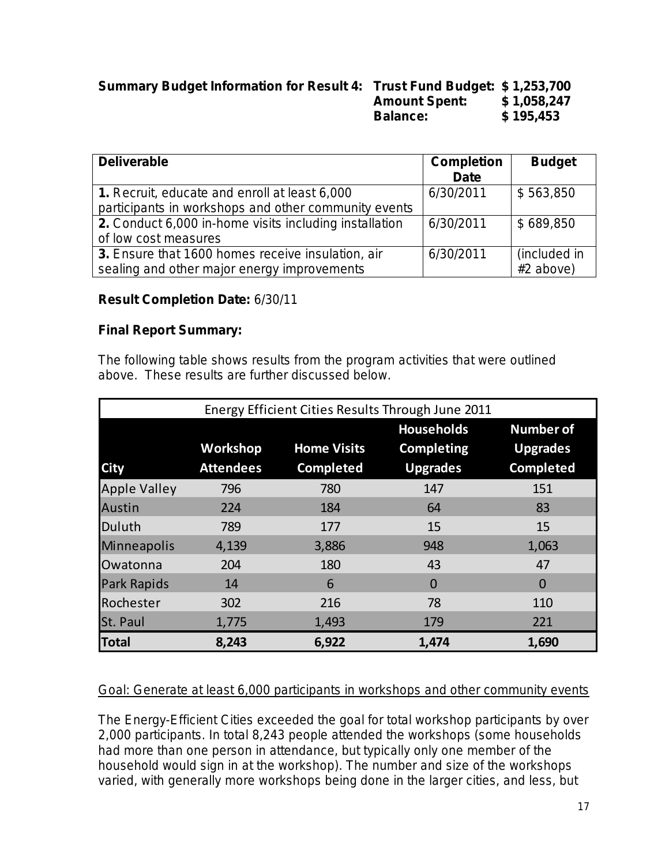| Summary Budget Information for Result 4: Trust Fund Budget: \$ 1,253,700 |                      |             |
|--------------------------------------------------------------------------|----------------------|-------------|
|                                                                          | <b>Amount Spent:</b> | \$1,058,247 |
|                                                                          | <b>Balance:</b>      | \$195,453   |

| <b>Deliverable</b>                                     | <b>Completion</b> | <b>Budget</b> |
|--------------------------------------------------------|-------------------|---------------|
|                                                        | <b>Date</b>       |               |
| 1. Recruit, educate and enroll at least 6,000          | 6/30/2011         | \$563,850     |
| participants in workshops and other community events   |                   |               |
| 2. Conduct 6,000 in-home visits including installation | 6/30/2011         | \$689,850     |
| of low cost measures                                   |                   |               |
| 3. Ensure that 1600 homes receive insulation, air      | 6/30/2011         | (included in  |
| sealing and other major energy improvements            |                   | #2 above)     |

## **Result Completion Date:** 6/30/11

## **Final Report Summary:**

The following table shows results from the program activities that were outlined above. These results are further discussed below.

| Energy Efficient Cities Results Through June 2011 |                  |                    |                                        |                                     |
|---------------------------------------------------|------------------|--------------------|----------------------------------------|-------------------------------------|
|                                                   | Workshop         | <b>Home Visits</b> | <b>Households</b><br><b>Completing</b> | <b>Number of</b><br><b>Upgrades</b> |
| <b>City</b>                                       | <b>Attendees</b> | <b>Completed</b>   | <b>Upgrades</b>                        | <b>Completed</b>                    |
| <b>Apple Valley</b>                               | 796              | 780                | 147                                    | 151                                 |
| <b>Austin</b>                                     | 224              | 184                | 64                                     | 83                                  |
| Duluth                                            | 789              | 177                | 15                                     | 15                                  |
| Minneapolis                                       | 4,139            | 3,886              | 948                                    | 1,063                               |
| Owatonna                                          | 204              | 180                | 43                                     | 47                                  |
| <b>Park Rapids</b>                                | 14               | 6                  | $\overline{0}$                         | $\Omega$                            |
| Rochester                                         | 302              | 216                | 78                                     | 110                                 |
| St. Paul                                          | 1,775            | 1,493              | 179                                    | 221                                 |
| <b>Total</b>                                      | 8,243            | 6,922              | 1,474                                  | 1,690                               |

## Goal: Generate at least 6,000 participants in workshops and other community events

The Energy-Efficient Cities exceeded the goal for total workshop participants by over 2,000 participants. In total 8,243 people attended the workshops (some households had more than one person in attendance, but typically only one member of the household would sign in at the workshop). The number and size of the workshops varied, with generally more workshops being done in the larger cities, and less, but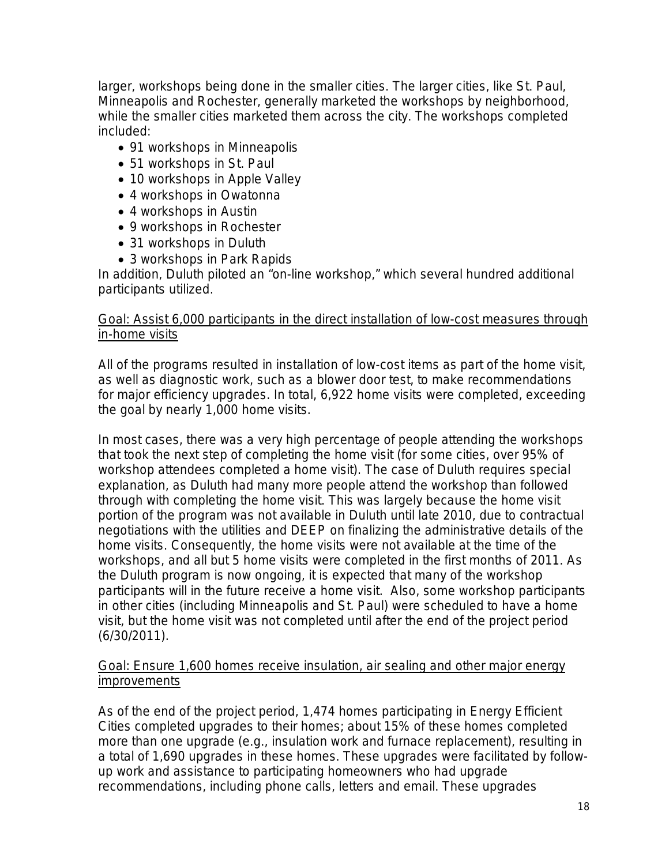larger, workshops being done in the smaller cities. The larger cities, like St. Paul, Minneapolis and Rochester, generally marketed the workshops by neighborhood, while the smaller cities marketed them across the city. The workshops completed included:

- 91 workshops in Minneapolis
- 51 workshops in St. Paul
- 10 workshops in Apple Valley
- 4 workshops in Owatonna
- 4 workshops in Austin
- 9 workshops in Rochester
- 31 workshops in Duluth
- 3 workshops in Park Rapids

In addition, Duluth piloted an "on-line workshop," which several hundred additional participants utilized.

## Goal: Assist 6,000 participants in the direct installation of low-cost measures through in-home visits

All of the programs resulted in installation of low-cost items as part of the home visit, as well as diagnostic work, such as a blower door test, to make recommendations for major efficiency upgrades. In total, 6,922 home visits were completed, exceeding the goal by nearly 1,000 home visits.

In most cases, there was a very high percentage of people attending the workshops that took the next step of completing the home visit (for some cities, over 95% of workshop attendees completed a home visit). The case of Duluth requires special explanation, as Duluth had many more people attend the workshop than followed through with completing the home visit. This was largely because the home visit portion of the program was not available in Duluth until late 2010, due to contractual negotiations with the utilities and DEEP on finalizing the administrative details of the home visits. Consequently, the home visits were not available at the time of the workshops, and all but 5 home visits were completed in the first months of 2011. As the Duluth program is now ongoing, it is expected that many of the workshop participants will in the future receive a home visit. Also, some workshop participants in other cities (including Minneapolis and St. Paul) were scheduled to have a home visit, but the home visit was not completed until after the end of the project period (6/30/2011).

## Goal: Ensure 1,600 homes receive insulation, air sealing and other major energy improvements

As of the end of the project period, 1,474 homes participating in Energy Efficient Cities completed upgrades to their homes; about 15% of these homes completed more than one upgrade (e.g., insulation work and furnace replacement), resulting in a total of 1,690 upgrades in these homes. These upgrades were facilitated by followup work and assistance to participating homeowners who had upgrade recommendations, including phone calls, letters and email. These upgrades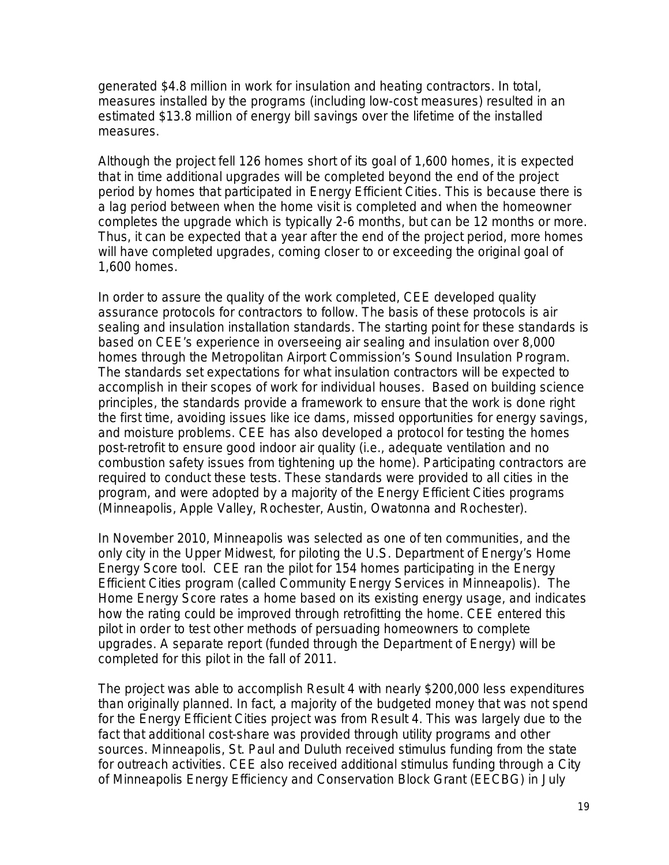generated \$4.8 million in work for insulation and heating contractors. In total, measures installed by the programs (including low-cost measures) resulted in an estimated \$13.8 million of energy bill savings over the lifetime of the installed measures.

Although the project fell 126 homes short of its goal of 1,600 homes, it is expected that in time additional upgrades will be completed beyond the end of the project period by homes that participated in Energy Efficient Cities. This is because there is a lag period between when the home visit is completed and when the homeowner completes the upgrade which is typically 2-6 months, but can be 12 months or more. Thus, it can be expected that a year after the end of the project period, more homes will have completed upgrades, coming closer to or exceeding the original goal of 1,600 homes.

In order to assure the quality of the work completed, CEE developed quality assurance protocols for contractors to follow. The basis of these protocols is air sealing and insulation installation standards. The starting point for these standards is based on CEE's experience in overseeing air sealing and insulation over 8,000 homes through the Metropolitan Airport Commission's Sound Insulation Program. The standards set expectations for what insulation contractors will be expected to accomplish in their scopes of work for individual houses. Based on building science principles, the standards provide a framework to ensure that the work is done right the first time, avoiding issues like ice dams, missed opportunities for energy savings, and moisture problems. CEE has also developed a protocol for testing the homes post-retrofit to ensure good indoor air quality (i.e., adequate ventilation and no combustion safety issues from tightening up the home). Participating contractors are required to conduct these tests. These standards were provided to all cities in the program, and were adopted by a majority of the Energy Efficient Cities programs (Minneapolis, Apple Valley, Rochester, Austin, Owatonna and Rochester).

In November 2010, Minneapolis was selected as one of ten communities, and the only city in the Upper Midwest, for piloting the U.S. Department of Energy's Home Energy Score tool. CEE ran the pilot for 154 homes participating in the Energy Efficient Cities program (called Community Energy Services in Minneapolis). The Home Energy Score rates a home based on its existing energy usage, and indicates how the rating could be improved through retrofitting the home. CEE entered this pilot in order to test other methods of persuading homeowners to complete upgrades. A separate report (funded through the Department of Energy) will be completed for this pilot in the fall of 2011.

The project was able to accomplish Result 4 with nearly \$200,000 less expenditures than originally planned. In fact, a majority of the budgeted money that was not spend for the Energy Efficient Cities project was from Result 4. This was largely due to the fact that additional cost-share was provided through utility programs and other sources. Minneapolis, St. Paul and Duluth received stimulus funding from the state for outreach activities. CEE also received additional stimulus funding through a City of Minneapolis Energy Efficiency and Conservation Block Grant (EECBG) in July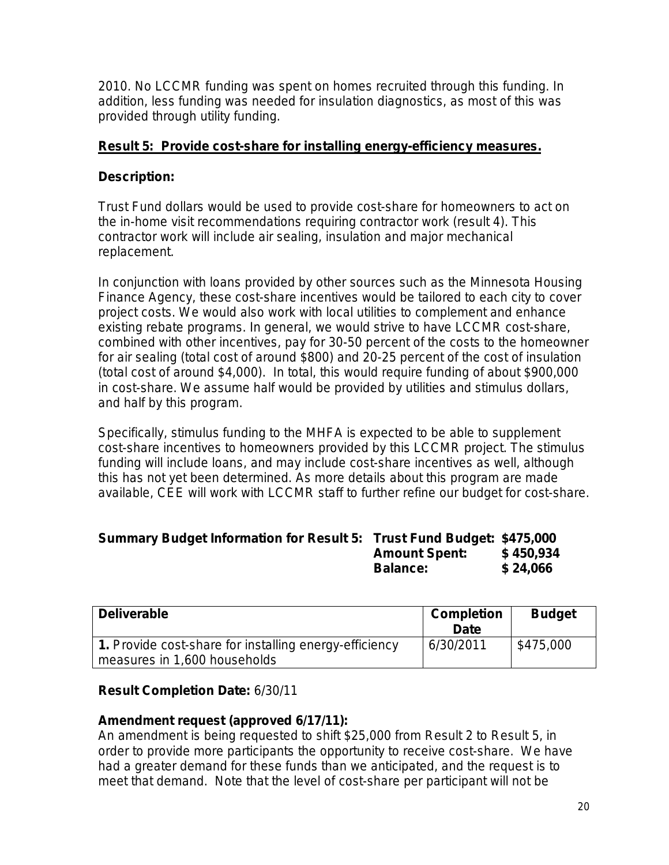2010. No LCCMR funding was spent on homes recruited through this funding. In addition, less funding was needed for insulation diagnostics, as most of this was provided through utility funding.

## **Result 5: Provide cost-share for installing energy-efficiency measures.**

## **Description:**

Trust Fund dollars would be used to provide cost-share for homeowners to act on the in-home visit recommendations requiring contractor work (result 4). This contractor work will include air sealing, insulation and major mechanical replacement.

In conjunction with loans provided by other sources such as the Minnesota Housing Finance Agency, these cost-share incentives would be tailored to each city to cover project costs. We would also work with local utilities to complement and enhance existing rebate programs. In general, we would strive to have LCCMR cost-share, combined with other incentives, pay for 30-50 percent of the costs to the homeowner for air sealing (total cost of around \$800) and 20-25 percent of the cost of insulation (total cost of around \$4,000). In total, this would require funding of about \$900,000 in cost-share. We assume half would be provided by utilities and stimulus dollars, and half by this program.

Specifically, stimulus funding to the MHFA is expected to be able to supplement cost-share incentives to homeowners provided by this LCCMR project. The stimulus funding will include loans, and may include cost-share incentives as well, although this has not yet been determined. As more details about this program are made available, CEE will work with LCCMR staff to further refine our budget for cost-share.

| Summary Budget Information for Result 5: Trust Fund Budget: \$475,000 |                      |           |
|-----------------------------------------------------------------------|----------------------|-----------|
|                                                                       | <b>Amount Spent:</b> | \$450,934 |
|                                                                       | <b>Balance:</b>      | \$24,066  |

| <b>Deliverable</b>                                                                     | <b>Completion</b><br>Date | <b>Budget</b> |
|----------------------------------------------------------------------------------------|---------------------------|---------------|
| 1. Provide cost-share for installing energy-efficiency<br>measures in 1,600 households | 6/30/2011                 | \$475,000     |

## **Result Completion Date:** 6/30/11

## **Amendment request (approved 6/17/11):**

An amendment is being requested to shift \$25,000 from Result 2 to Result 5, in order to provide more participants the opportunity to receive cost-share. We have had a greater demand for these funds than we anticipated, and the request is to meet that demand. Note that the level of cost-share per participant will not be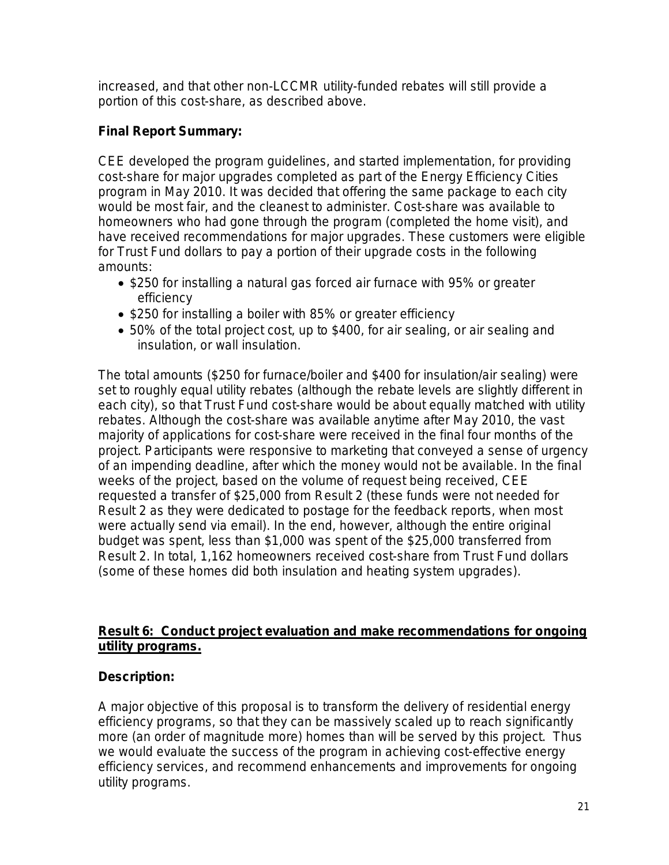increased, and that other non-LCCMR utility-funded rebates will still provide a portion of this cost-share, as described above.

## **Final Report Summary:**

CEE developed the program guidelines, and started implementation, for providing cost-share for major upgrades completed as part of the Energy Efficiency Cities program in May 2010. It was decided that offering the same package to each city would be most fair, and the cleanest to administer. Cost-share was available to homeowners who had gone through the program (completed the home visit), and have received recommendations for major upgrades. These customers were eligible for Trust Fund dollars to pay a portion of their upgrade costs in the following amounts:

- \$250 for installing a natural gas forced air furnace with 95% or greater efficiency
- \$250 for installing a boiler with 85% or greater efficiency
- 50% of the total project cost, up to \$400, for air sealing, or air sealing and insulation, or wall insulation.

The total amounts (\$250 for furnace/boiler and \$400 for insulation/air sealing) were set to roughly equal utility rebates (although the rebate levels are slightly different in each city), so that Trust Fund cost-share would be about equally matched with utility rebates. Although the cost-share was available anytime after May 2010, the vast majority of applications for cost-share were received in the final four months of the project. Participants were responsive to marketing that conveyed a sense of urgency of an impending deadline, after which the money would not be available. In the final weeks of the project, based on the volume of request being received, CEE requested a transfer of \$25,000 from Result 2 (these funds were not needed for Result 2 as they were dedicated to postage for the feedback reports, when most were actually send via email). In the end, however, although the entire original budget was spent, less than \$1,000 was spent of the \$25,000 transferred from Result 2. In total, 1,162 homeowners received cost-share from Trust Fund dollars (some of these homes did both insulation and heating system upgrades).

## **Result 6: Conduct project evaluation and make recommendations for ongoing utility programs.**

## **Description:**

A major objective of this proposal is to transform the delivery of residential energy efficiency programs, so that they can be massively scaled up to reach significantly more (an order of magnitude more) homes than will be served by this project. Thus we would evaluate the success of the program in achieving cost-effective energy efficiency services, and recommend enhancements and improvements for ongoing utility programs.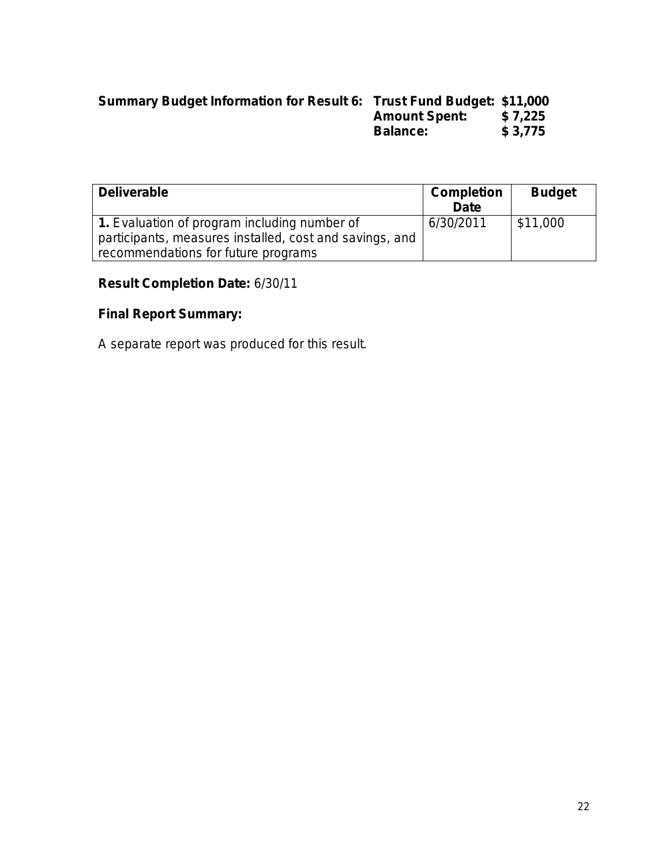## **Summary Budget Information for Result 6: Trust Fund Budget: \$11,000 Amount Spent: \$ 7,225 Balance: \$ 3,775**

| <b>Deliverable</b>                                                                                      | <b>Completion</b><br><b>Date</b> | <b>Budget</b> |
|---------------------------------------------------------------------------------------------------------|----------------------------------|---------------|
| 1. Evaluation of program including number of<br>participants, measures installed, cost and savings, and | 6/30/2011                        | \$11,000      |
| recommendations for future programs                                                                     |                                  |               |

## **Result Completion Date:** 6/30/11

# **Final Report Summary:**

A separate report was produced for this result.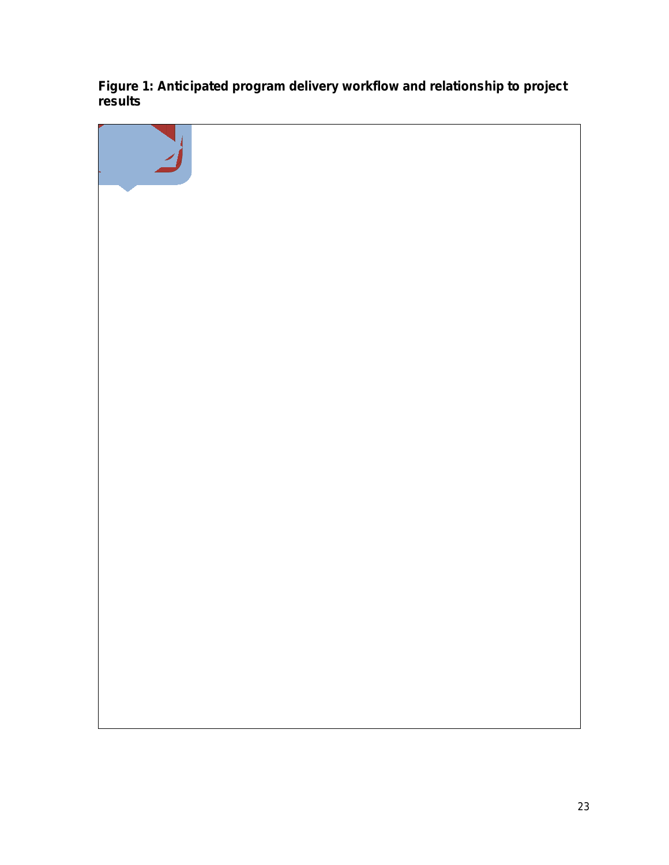**Figure 1: Anticipated program delivery workflow and relationship to project results**

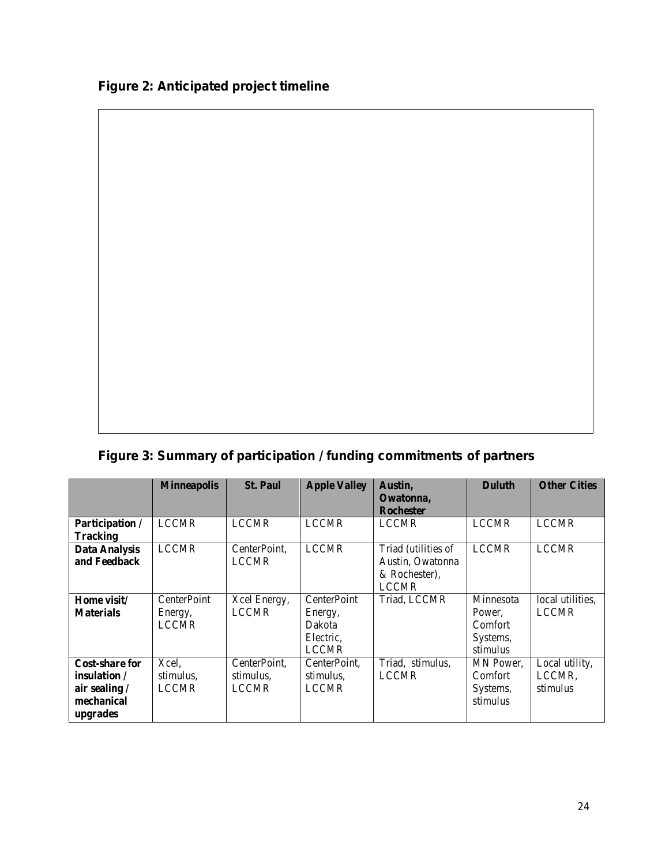$\Gamma$ 

**Figure 3: Summary of participation / funding commitments of partners**

|                                                                           | <b>Minneapolis</b>                     | <b>St. Paul</b>                           | <b>Apple Valley</b>                                           | Austin.<br>Owatonna,<br><b>Rochester</b>                                 | <b>Duluth</b>                                          | <b>Other Cities</b>                  |
|---------------------------------------------------------------------------|----------------------------------------|-------------------------------------------|---------------------------------------------------------------|--------------------------------------------------------------------------|--------------------------------------------------------|--------------------------------------|
| Participation /<br><b>Tracking</b>                                        | <b>LCCMR</b>                           | <b>LCCMR</b>                              | <b>LCCMR</b>                                                  | <b>LCCMR</b>                                                             | <b>LCCMR</b>                                           | <b>LCCMR</b>                         |
| <b>Data Analysis</b><br>and Feedback                                      | <b>LCCMR</b>                           | CenterPoint,<br><b>LCCMR</b>              | <b>LCCMR</b>                                                  | Triad (utilities of<br>Austin, Owatonna<br>& Rochester).<br><b>LCCMR</b> | <b>LCCMR</b>                                           | <b>LCCMR</b>                         |
| Home visit/<br><b>Materials</b>                                           | CenterPoint<br>Energy,<br><b>LCCMR</b> | Xcel Energy,<br><b>LCCMR</b>              | CenterPoint<br>Energy,<br>Dakota<br>Electric,<br><b>LCCMR</b> | Triad, LCCMR                                                             | Minnesota<br>Power.<br>Comfort<br>Systems,<br>stimulus | local utilities.<br><b>LCCMR</b>     |
| Cost-share for<br>insulation /<br>air sealing /<br>mechanical<br>upgrades | Xcel,<br>stimulus,<br><b>LCCMR</b>     | CenterPoint,<br>stimulus,<br><b>LCCMR</b> | CenterPoint,<br>stimulus,<br><b>LCCMR</b>                     | Triad, stimulus,<br><b>LCCMR</b>                                         | MN Power,<br><b>Comfort</b><br>Systems,<br>stimulus    | Local utility,<br>LCCMR.<br>stimulus |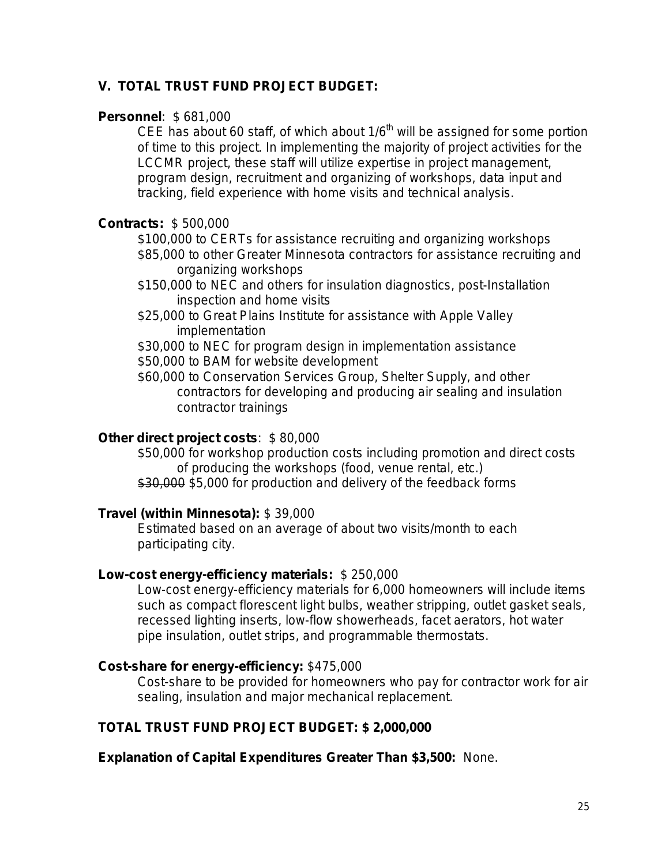## **V. TOTAL TRUST FUND PROJECT BUDGET:**

#### **Personnel**: \$ 681,000

CEE has about 60 staff, of which about  $1/6<sup>th</sup>$  will be assigned for some portion of time to this project. In implementing the majority of project activities for the LCCMR project, these staff will utilize expertise in project management, program design, recruitment and organizing of workshops, data input and tracking, field experience with home visits and technical analysis.

### **Contracts:** \$ 500,000

\$100,000 to CERTs for assistance recruiting and organizing workshops \$85,000 to other Greater Minnesota contractors for assistance recruiting and organizing workshops

- \$150,000 to NEC and others for insulation diagnostics, post-Installation inspection and home visits
- \$25,000 to Great Plains Institute for assistance with Apple Valley implementation

\$30,000 to NEC for program design in implementation assistance \$50,000 to BAM for website development

\$60,000 to Conservation Services Group, Shelter Supply, and other contractors for developing and producing air sealing and insulation contractor trainings

### **Other direct project costs**: \$ 80,000

\$50,000 for workshop production costs including promotion and direct costs of producing the workshops (food, venue rental, etc.) \$30,000 \$5,000 for production and delivery of the feedback forms

## **Travel (within Minnesota):** \$ 39,000

Estimated based on an average of about two visits/month to each participating city.

## **Low-cost energy-efficiency materials:** \$ 250,000

Low-cost energy-efficiency materials for 6,000 homeowners will include items such as compact florescent light bulbs, weather stripping, outlet gasket seals, recessed lighting inserts, low-flow showerheads, facet aerators, hot water pipe insulation, outlet strips, and programmable thermostats.

#### **Cost-share for energy-efficiency:** \$475,000

Cost-share to be provided for homeowners who pay for contractor work for air sealing, insulation and major mechanical replacement.

## **TOTAL TRUST FUND PROJECT BUDGET: \$ 2,000,000**

**Explanation of Capital Expenditures Greater Than \$3,500:** None.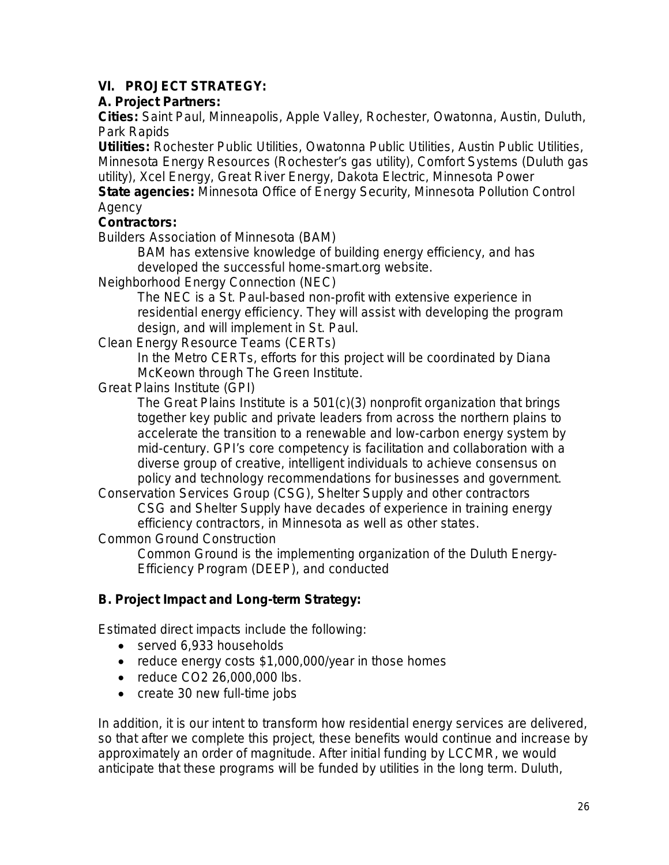# **VI. PROJECT STRATEGY:**

## **A. Project Partners:**

**Cities:** Saint Paul, Minneapolis, Apple Valley, Rochester, Owatonna, Austin, Duluth, Park Rapids

**Utilities:** Rochester Public Utilities, Owatonna Public Utilities, Austin Public Utilities, Minnesota Energy Resources (Rochester's gas utility), Comfort Systems (Duluth gas utility), Xcel Energy, Great River Energy, Dakota Electric, Minnesota Power **State agencies:** Minnesota Office of Energy Security, Minnesota Pollution Control

Agency

## **Contractors:**

Builders Association of Minnesota (BAM)

BAM has extensive knowledge of building energy efficiency, and has developed the successful home-smart.org website.

Neighborhood Energy Connection (NEC)

The NEC is a St. Paul-based non-profit with extensive experience in residential energy efficiency. They will assist with developing the program design, and will implement in St. Paul.

Clean Energy Resource Teams (CERTs)

In the Metro CERTs, efforts for this project will be coordinated by Diana McKeown through The Green Institute.

Great Plains Institute (GPI)

The Great Plains Institute is a 501(c)(3) nonprofit organization that brings together key public and private leaders from across the northern plains to accelerate the transition to a renewable and low-carbon energy system by mid-century. GPI's core competency is facilitation and collaboration with a diverse group of creative, intelligent individuals to achieve consensus on policy and technology recommendations for businesses and government.

Conservation Services Group (CSG), Shelter Supply and other contractors CSG and Shelter Supply have decades of experience in training energy efficiency contractors, in Minnesota as well as other states.

Common Ground Construction

Common Ground is the implementing organization of the Duluth Energy-Efficiency Program (DEEP), and conducted

# **B. Project Impact and Long-term Strategy:**

Estimated direct impacts include the following:

- served 6,933 households
- reduce energy costs \$1,000,000/year in those homes
- reduce CO2 26,000,000 lbs.
- create 30 new full-time jobs

In addition, it is our intent to transform how residential energy services are delivered, so that after we complete this project, these benefits would continue and increase by approximately an order of magnitude. After initial funding by LCCMR, we would anticipate that these programs will be funded by utilities in the long term. Duluth,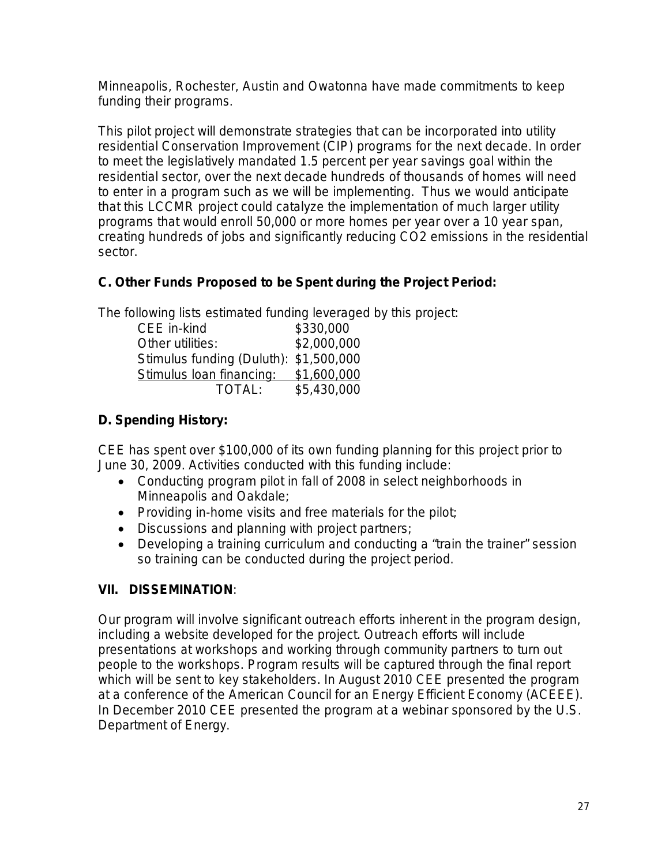Minneapolis, Rochester, Austin and Owatonna have made commitments to keep funding their programs.

This pilot project will demonstrate strategies that can be incorporated into utility residential Conservation Improvement (CIP) programs for the next decade. In order to meet the legislatively mandated 1.5 percent per year savings goal within the residential sector, over the next decade hundreds of thousands of homes will need to enter in a program such as we will be implementing. Thus we would anticipate that this LCCMR project could catalyze the implementation of much larger utility programs that would enroll 50,000 or more homes per year over a 10 year span, creating hundreds of jobs and significantly reducing CO2 emissions in the residential sector.

# **C. Other Funds Proposed to be Spent during the Project Period:**

The following lists estimated funding leveraged by this project:

| CEE in-kind                            | \$330,000   |  |
|----------------------------------------|-------------|--|
| Other utilities:                       | \$2,000,000 |  |
| Stimulus funding (Duluth): \$1,500,000 |             |  |
| Stimulus Ioan financing:               | \$1,600,000 |  |
| TOTAL:                                 | \$5,430,000 |  |

# **D. Spending History:**

CEE has spent over \$100,000 of its own funding planning for this project prior to June 30, 2009. Activities conducted with this funding include:

- Conducting program pilot in fall of 2008 in select neighborhoods in Minneapolis and Oakdale;
- Providing in-home visits and free materials for the pilot;
- Discussions and planning with project partners;
- Developing a training curriculum and conducting a "train the trainer" session so training can be conducted during the project period.

# **VII. DISSEMINATION**:

Our program will involve significant outreach efforts inherent in the program design, including a website developed for the project. Outreach efforts will include presentations at workshops and working through community partners to turn out people to the workshops. Program results will be captured through the final report which will be sent to key stakeholders. In August 2010 CEE presented the program at a conference of the American Council for an Energy Efficient Economy (ACEEE). In December 2010 CEE presented the program at a webinar sponsored by the U.S. Department of Energy.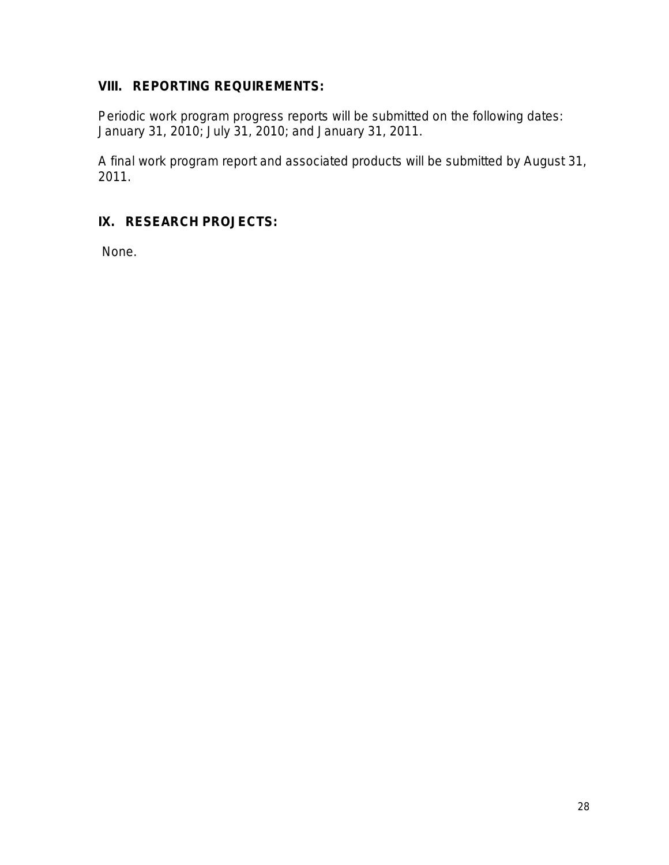# **VIII. REPORTING REQUIREMENTS:**

Periodic work program progress reports will be submitted on the following dates: January 31, 2010; July 31, 2010; and January 31, 2011.

A final work program report and associated products will be submitted by August 31, 2011.

# **IX. RESEARCH PROJECTS:**

None.